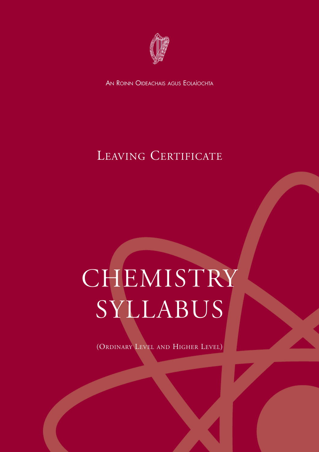

AN ROINN OIDEACHAIS AGUS EOLAÍOCHTA

# LEAVING CERTIFICATE

# CHEMISTRY SYLLABUS

(ORDINARY LEVEL AND HIGHER LEVEL)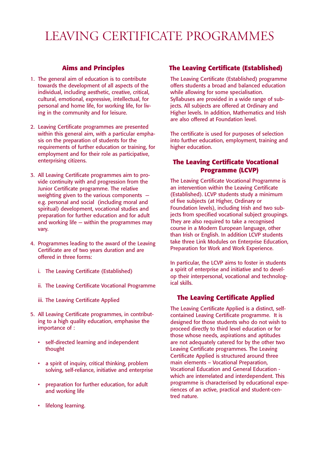# LEAVING CERTIFICATE PROGRAMMES

## **Aims and Principles**

- 1. The general aim of education is to contribute towards the development of all aspects of the individual, including aesthetic, creative, critical, cultural, emotional, expressive, intellectual, for personal and home life, for working life, for living in the community and for leisure.
- 2. Leaving Certificate programmes are presented within this general aim, with a particular emphasis on the preparation of students for the requirements of further education or training, for employment and for their role as participative, enterprising citizens.
- 3. All Leaving Certificate programmes aim to provide continuity with and progression from the Junior Certificate programme. The relative weighting given to the various components e.g. personal and social (including moral and spiritual) development, vocational studies and preparation for further education and for adult and working life — within the programmes may vary.
- 4. Programmes leading to the award of the Leaving Certificate are of two years duration and are offered in three forms:
	- i. The Leaving Certificate (Established)
	- ii. The Leaving Certificate Vocational Programme
	- iii. The Leaving Certificate Applied
- 5. All Leaving Certificate programmes, in contributing to a high quality education, emphasise the importance of :
	- self-directed learning and independent thought
	- a spirit of inquiry, critical thinking, problem solving, self-reliance, initiative and enterprise
	- preparation for further education, for adult and working life
	- lifelong learning.

# **The Leaving Certificate (Established)**

The Leaving Certificate (Established) programme offers students a broad and balanced education while allowing for some specialisation. Syllabuses are provided in a wide range of subjects. All subjects are offered at Ordinary and Higher levels. In addition, Mathematics and Irish are also offered at Foundation level.

The certificate is used for purposes of selection into further education, employment, training and higher education.

# **The Leaving Certificate Vocational Programme (LCVP)**

The Leaving Certificate Vocational Programme is an intervention within the Leaving Certificate (Established). LCVP students study a minimum of five subjects (at Higher, Ordinary or Foundation levels), including Irish and two subjects from specified vocational subject groupings. They are also required to take a recognised course in a Modern European language, other than Irish or English. In addition LCVP students take three Link Modules on Enterprise Education, Preparation for Work and Work Experience.

In particular, the LCVP aims to foster in students a spirit of enterprise and initiative and to develop their interpersonal, vocational and technological skills.

# **The Leaving Certificate Applied**

The Leaving Certificate Applied is a distinct, selfcontained Leaving Certificate programme. It is designed for those students who do not wish to proceed directly to third level education or for those whose needs, aspirations and aptitudes are not adequately catered for by the other two Leaving Certificate programmes. The Leaving Certificate Applied is structured around three main elements – Vocational Preparation, Vocational Education and General Education which are interrelated and interdependent. This programme is characterised by educational experiences of an active, practical and student-centred nature.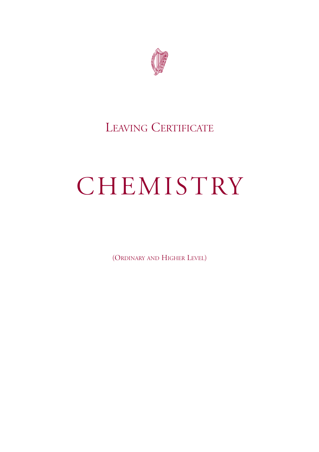

# LEAVING CERTIFICATE

# CHEMISTRY

(ORDINARY AND HIGHER LEVEL)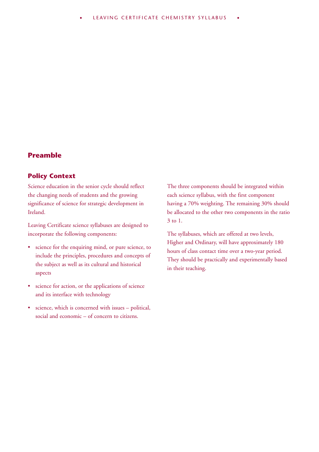### **Preamble**

### **Policy Context**

Science education in the senior cycle should reflect the changing needs of students and the growing significance of science for strategic development in Ireland.

Leaving Certificate science syllabuses are designed to incorporate the following components:

- science for the enquiring mind, or pure science, to include the principles, procedures and concepts of the subject as well as its cultural and historical aspects
- science for action, or the applications of science and its interface with technology
- science, which is concerned with issues political, social and economic – of concern to citizens.

The three components should be integrated within each science syllabus, with the first component having a 70% weighting. The remaining 30% should be allocated to the other two components in the ratio 3 to 1.

The syllabuses, which are offered at two levels, Higher and Ordinary, will have approximately 180 hours of class contact time over a two-year period. They should be practically and experimentally based in their teaching.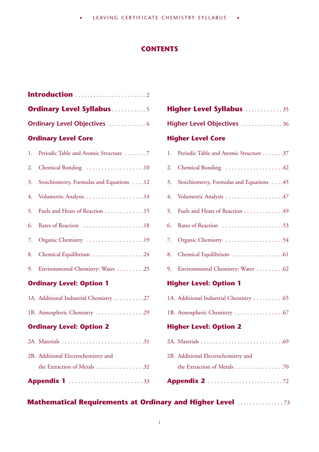# **CONTENTS**

| <b>Ordinary Level Syllabus</b> 5   |  |
|------------------------------------|--|
| <b>Ordinary Level Objectives</b> 6 |  |

# **Ordinary Level Core**

|    | 1. Periodic Table and Atomic Structure 7 |
|----|------------------------------------------|
| 2. | Chemical Bonding 10                      |
| 3. | Stoichiometry, Formulas and Equations 12 |
| 4. | Volumetric Analysis 14                   |
| 5. | Fuels and Heats of Reaction 15           |
| 6. | Rates of Reaction 18                     |
|    | 7. Organic Chemistry 19                  |
| 8. | Chemical Equilibrium 24                  |
|    | 9. Environmental Chemistry: Water 25     |
|    | <b>Ordinary Level: Option 1</b>          |
|    | 1A. Additional Industrial Chemistry 27   |
|    | 1B. Atmospheric Chemistry 29             |
|    | <b>Ordinary Level: Option 2</b>          |
|    |                                          |

| 2B. Additional Electrochemistry and                         |
|-------------------------------------------------------------|
| the Extraction of Metals $\dots \dots \dots \dots \dots 32$ |
|                                                             |

|    | Higher Level Syllabus  35                |
|----|------------------------------------------|
|    | Higher Level Objectives 36               |
|    | <b>Higher Level Core</b>                 |
| 1. | Periodic Table and Atomic Structure 37   |
| 2. | Chemical Bonding 42                      |
| 3. | Stoichiometry, Formulas and Equations 45 |
| 4. | Volumetric Analysis 47                   |
| 5. | Fuels and Heats of Reaction 49           |
| 6. | Rates of Reaction 53                     |
| 7. | Organic Chemistry 54                     |
| 8. |                                          |
| 9. | Environmental Chemistry: Water 62        |
|    | <b>Higher Level: Option 1</b>            |
|    | 1A. Additional Industrial Chemistry 65   |
|    |                                          |
|    | <b>Higher Level: Option 2</b>            |
|    |                                          |
|    | 2B. Additional Electrochemistry and      |
|    | the Extraction of Metals 70              |

**Appendix 2** [. . . . . . . . . . . . . . . . . . . . . . . . 72](#page-75-0)

**[Mathematical Requirements at Ordinary and Higher Level](#page-76-0)** . . . . . . . . . . . . . . . 73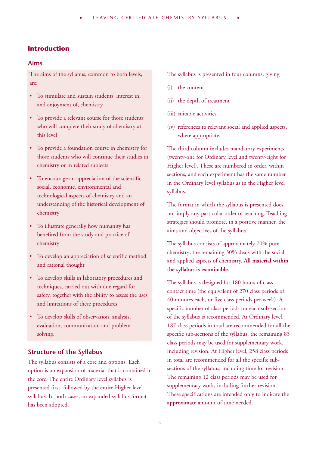### <span id="page-5-0"></span>**Introduction**

### **Aims**

The aims of the syllabus, common to both levels, are:

- To stimulate and sustain students' interest in, and enjoyment of, chemistry
- To provide a relevant course for those students who will complete their study of chemistry at this level
- To provide a foundation course in chemistry for those students who will continue their studies in chemistry or in related subjects
- To encourage an appreciation of the scientific, social, economic, environmental and technological aspects of chemistry and an understanding of the historical development of chemistry
- To illustrate generally how humanity has benefited from the study and practice of chemistry
- To develop an appreciation of scientific method and rational thought
- To develop skills in laboratory procedures and techniques, carried out with due regard for safety, together with the ability to assess the uses and limitations of these procedures
- To develop skills of observation, analysis, evaluation, communication and problemsolving.

### **Structure of the Syllabus**

The syllabus consists of a core and options. Each option is an expansion of material that is contained in the core. The entire Ordinary level syllabus is presented first, followed by the entire Higher level syllabus. In both cases, an expanded syllabus format has been adopted.

The syllabus is presented in four columns, giving

- (i) the content
- (ii) the depth of treatment
- (iii) suitable activities
- (iv) references to relevant social and applied aspects, where appropriate.

The third column includes mandatory experiments (twenty-one for Ordinary level and twenty-eight for Higher level). These are numbered in order, within sections, and each experiment has the same number in the Ordinary level syllabus as in the Higher level syllabus.

The format in which the syllabus is presented does not imply any particular order of teaching. Teaching strategies should promote, in a positive manner, the aims and objectives of the syllabus.

The syllabus consists of approximately 70% pure chemistry; the remaining 30% deals with the social and applied aspects of chemistry. **All material within the syllabus is examinable.**

The syllabus is designed for 180 hours of class contact time (the equivalent of 270 class periods of 40 minutes each, or five class periods per week). A specific number of class periods for each sub-section of the syllabus is recommended. At Ordinary level, 187 class periods in total are recommended for all the specific sub-sections of the syllabus; the remaining 83 class periods may be used for supplementary work, including revision. At Higher level, 258 class periods in total are recommended for all the specific subsections of the syllabus, including time for revision. The remaining 12 class periods may be used for supplementary work, including further revision. These specifications are intended only to indicate the **approximate** amount of time needed.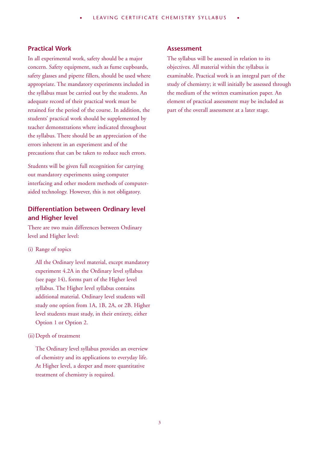### **Practical Work**

In all experimental work, safety should be a major concern. Safety equipment, such as fume cupboards, safety glasses and pipette fillers, should be used where appropriate. The mandatory experiments included in the syllabus must be carried out by the students. An adequate record of their practical work must be retained for the period of the course. In addition, the students' practical work should be supplemented by teacher demonstrations where indicated throughout the syllabus. There should be an appreciation of the errors inherent in an experiment and of the precautions that can be taken to reduce such errors.

Students will be given full recognition for carrying out mandatory experiments using computer interfacing and other modern methods of computeraided technology. However, this is not obligatory.

## **Differentiation between Ordinary level and Higher level**

There are two main differences between Ordinary level and Higher level:

(i) Range of topics

All the Ordinary level material, except mandatory experiment 4.2A in the Ordinary level syllabus (see page 14), forms part of the Higher level syllabus. The Higher level syllabus contains additional material. Ordinary level students will study one option from 1A, 1B, 2A, or 2B. Higher level students must study, in their entirety, either Option 1 or Option 2.

#### (ii) Depth of treatment

The Ordinary level syllabus provides an overview of chemistry and its applications to everyday life. At Higher level, a deeper and more quantitative treatment of chemistry is required.

#### **Assessment**

The syllabus will be assessed in relation to its objectives. All material within the syllabus is examinable. Practical work is an integral part of the study of chemistry; it will initially be assessed through the medium of the written examination paper. An element of practical assessment may be included as part of the overall assessment at a later stage.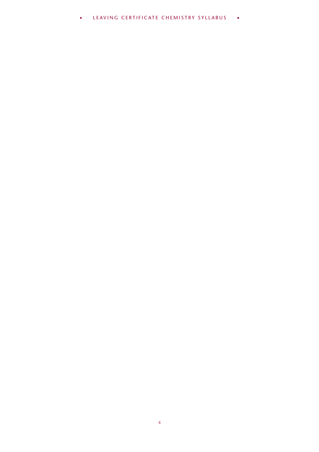### • LEAVING CERTIFICATE CHEMISTRY SYLLABUS •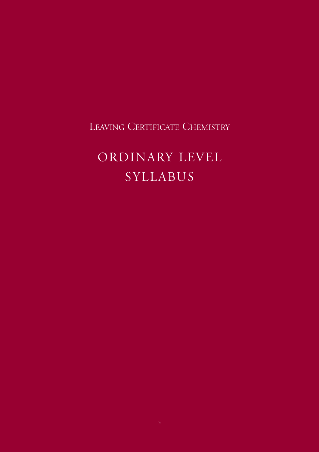<span id="page-8-0"></span>LEAVING CERTIFICATE CHEMISTRY

# ORDINARY LEVEL **SYLLABUS**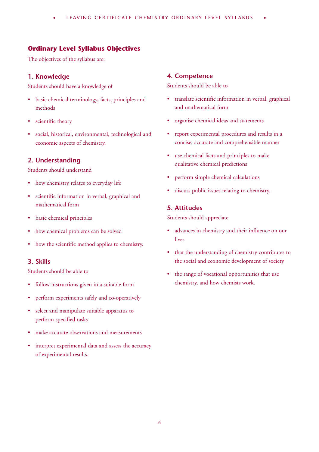# <span id="page-9-0"></span>**Ordinary Level Syllabus Objectives**

The objectives of the syllabus are:

### **1. Knowledge**

Students should have a knowledge of

- basic chemical terminology, facts, principles and methods
- scientific theory
- social, historical, environmental, technological and economic aspects of chemistry.

### **2. Understanding**

Students should understand

- how chemistry relates to everyday life
- scientific information in verbal, graphical and mathematical form
- basic chemical principles
- how chemical problems can be solved
- how the scientific method applies to chemistry.

### **3. Skills**

Students should be able to

- follow instructions given in a suitable form
- perform experiments safely and co-operatively
- select and manipulate suitable apparatus to perform specified tasks
- make accurate observations and measurements
- interpret experimental data and assess the accuracy of experimental results.

### **4. Competence**

Students should be able to

- translate scientific information in verbal, graphical and mathematical form
- organise chemical ideas and statements
- report experimental procedures and results in a concise, accurate and comprehensible manner
- use chemical facts and principles to make qualitative chemical predictions
- perform simple chemical calculations
- discuss public issues relating to chemistry.

### **5. Attitudes**

Students should appreciate

- advances in chemistry and their influence on our lives
- that the understanding of chemistry contributes to the social and economic development of society
- the range of vocational opportunities that use chemistry, and how chemists work.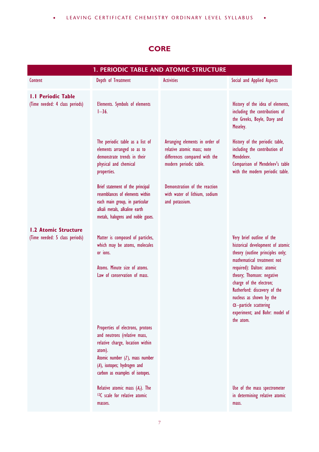# **CORE**

<span id="page-10-0"></span>

| <b>1. PERIODIC TABLE AND ATOMIC STRUCTURE</b>                 |                                                                                                                                                                                                                                                                                 |                                                                                                                         |                                                                                                                                                                                                                                                                                                                                                                 |  |
|---------------------------------------------------------------|---------------------------------------------------------------------------------------------------------------------------------------------------------------------------------------------------------------------------------------------------------------------------------|-------------------------------------------------------------------------------------------------------------------------|-----------------------------------------------------------------------------------------------------------------------------------------------------------------------------------------------------------------------------------------------------------------------------------------------------------------------------------------------------------------|--|
| Content                                                       | Depth of Treatment                                                                                                                                                                                                                                                              | <b>Activities</b>                                                                                                       | Social and Applied Aspects                                                                                                                                                                                                                                                                                                                                      |  |
| <b>1.1 Periodic Table</b><br>(Time needed: 4 class periods)   | Elements. Symbols of elements<br>$1 - 36.$                                                                                                                                                                                                                                      |                                                                                                                         | History of the idea of elements,<br>including the contributions of<br>the Greeks, Boyle, Davy and<br>Moseley.                                                                                                                                                                                                                                                   |  |
|                                                               | The periodic table as a list of<br>elements arranged so as to<br>demonstrate trends in their<br>physical and chemical<br>properties.                                                                                                                                            | Arranging elements in order of<br>relative atomic mass; note<br>differences compared with the<br>modern periodic table. | History of the periodic table,<br>including the contribution of<br>Mendeleev.<br>Comparison of Mendeleev's table<br>with the modern periodic table.                                                                                                                                                                                                             |  |
|                                                               | Brief statement of the principal<br>resemblances of elements within<br>each main group, in particular<br>alkali metals, alkaline earth<br>metals, halogens and noble gases.                                                                                                     | Demonstration of the reaction<br>with water of lithium, sodium<br>and potassium.                                        |                                                                                                                                                                                                                                                                                                                                                                 |  |
| <b>1.2 Atomic Structure</b><br>(Time needed: 5 class periods) | Matter is composed of particles,<br>which may be atoms, molecules<br>or ions.<br>Atoms. Minute size of atoms.<br>Law of conservation of mass.<br>Properties of electrons, protons                                                                                               |                                                                                                                         | Very brief outline of the<br>historical development of atomic<br>theory (outline principles only;<br>mathematical treatment not<br>required): Dalton: atomic<br>theory; Thomson: negative<br>charge of the electron;<br>Rutherford: discovery of the<br>nucleus as shown by the<br>$\alpha$ -particle scattering<br>experiment; and Bohr: model of<br>the atom. |  |
|                                                               | and neutrons (relative mass,<br>relative charge, location within<br>atom).<br>Atomic number $(Z)$ , mass number<br>(A), isotopes; hydrogen and<br>carbon as examples of isotopes.<br>Relative atomic mass $(A_r)$ . The<br><sup>12</sup> C scale for relative atomic<br>masses. |                                                                                                                         | Use of the mass spectrometer<br>in determining relative atomic<br>mass.                                                                                                                                                                                                                                                                                         |  |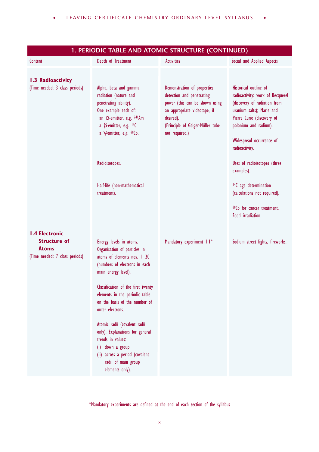| 1. PERIODIC TABLE AND ATOMIC STRUCTURE (CONTINUED)                                             |                                                                                                                                                                                                                                                                                                                                                                                                                                                                                      |                                                                                                                                                                                                 |                                                                                                                                                                                                                             |
|------------------------------------------------------------------------------------------------|--------------------------------------------------------------------------------------------------------------------------------------------------------------------------------------------------------------------------------------------------------------------------------------------------------------------------------------------------------------------------------------------------------------------------------------------------------------------------------------|-------------------------------------------------------------------------------------------------------------------------------------------------------------------------------------------------|-----------------------------------------------------------------------------------------------------------------------------------------------------------------------------------------------------------------------------|
| Content                                                                                        | Depth of Treatment                                                                                                                                                                                                                                                                                                                                                                                                                                                                   | <b>Activities</b>                                                                                                                                                                               | Social and Applied Aspects                                                                                                                                                                                                  |
| 1.3 Radioactivity<br>(Time needed: 3 class periods)                                            | Alpha, beta and gamma<br>radiation (nature and<br>penetrating ability).<br>One example each of:<br>an $\alpha$ -emitter, e.g. <sup>241</sup> Am<br>a $\beta$ -emitter, e.g. 14C<br>a $\gamma$ -emitter, e.g. $60C$ o.                                                                                                                                                                                                                                                                | Demonstration of properties -<br>detection and penetrating<br>power (this can be shown using<br>an appropriate videotape, if<br>desired).<br>(Principle of Geiger-Müller tube<br>not required.) | Historical outline of<br>radioactivity: work of Becquerel<br>(discovery of radiation from<br>uranium salts); Marie and<br>Pierre Curie (discovery of<br>polonium and radium).<br>Widespread occurrence of<br>radioactivity. |
|                                                                                                | Radioisotopes.                                                                                                                                                                                                                                                                                                                                                                                                                                                                       |                                                                                                                                                                                                 | Uses of radioisotopes (three<br>examples).                                                                                                                                                                                  |
|                                                                                                | Half-life (non-mathematical<br>treatment).                                                                                                                                                                                                                                                                                                                                                                                                                                           |                                                                                                                                                                                                 | <sup>14</sup> C age determination<br>(calculations not required).<br><sup>60</sup> Co for cancer treatment.<br>Food irradiation.                                                                                            |
| <b>1.4 Electronic</b><br><b>Structure of</b><br><b>Atoms</b><br>(Time needed: 7 class periods) | Energy levels in atoms.<br>Organisation of particles in<br>atoms of elements nos. 1-20<br>(numbers of electrons in each<br>main energy level).<br>Classification of the first twenty<br>elements in the periodic table<br>on the basis of the number of<br>outer electrons.<br>Atomic radii (covalent radii<br>only). Explanations for general<br>trends in values:<br>down a group<br>$\left( 1\right)$<br>(ii) across a period (covalent<br>radii of main group<br>elements only). | Mandatory experiment 1.1*                                                                                                                                                                       | Sodium street lights, fireworks.                                                                                                                                                                                            |

\*Mandatory experiments are defined at the end of each section of the syllabus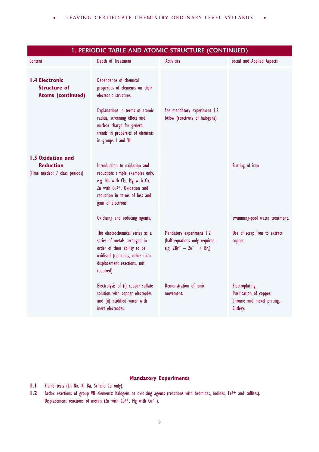| 1. PERIODIC TABLE AND ATOMIC STRUCTURE (CONTINUED)                      |                                                                                                                                                                                                                                                                    |                                                                                                             |                                                                                      |  |
|-------------------------------------------------------------------------|--------------------------------------------------------------------------------------------------------------------------------------------------------------------------------------------------------------------------------------------------------------------|-------------------------------------------------------------------------------------------------------------|--------------------------------------------------------------------------------------|--|
| Content                                                                 | Depth of Treatment                                                                                                                                                                                                                                                 | <b>Activities</b>                                                                                           | Social and Applied Aspects                                                           |  |
| <b>1.4 Electronic</b><br>Structure of<br><b>Atoms (continued)</b>       | Dependence of chemical<br>properties of elements on their<br>electronic structure.<br>Explanations in terms of atomic<br>radius, screening effect and<br>nuclear charge for general<br>trends in properties of elements<br>in groups I and VII.                    | See mandatory experiment 1.2<br>below (reactivity of halogens).                                             |                                                                                      |  |
| 1.5 Oxidation and<br><b>Reduction</b><br>(Time needed: 7 class periods) | Introduction to oxidation and<br>reduction: simple examples only,<br>e.g. Na with Cl <sub>2</sub> , Mg with O <sub>2</sub> ,<br>Zn with Cu <sup>2+</sup> . Oxidation and<br>reduction in terms of loss and<br>gain of electrons.<br>Oxidising and reducing agents. |                                                                                                             | Rusting of iron.<br>Swimming-pool water treatment.                                   |  |
|                                                                         | The electrochemical series as a<br>series of metals arranged in<br>order of their ability to be<br>oxidised (reactions, other than<br>displacement reactions, not<br>required).                                                                                    | Mandatory experiment 1.2<br>(half equations only required,<br>e.g. $2Br^{-} - 2e^{-} \rightarrow Br_{2}$ ). | Use of scrap iron to extract<br>copper.                                              |  |
|                                                                         | Electrolysis of (i) copper sulfate<br>solution with copper electrodes<br>and (ii) acidified water with<br>inert electrodes.                                                                                                                                        | Demonstration of ionic<br>movement.                                                                         | Electroplating.<br>Purification of copper.<br>Chrome and nickel plating.<br>Cutlery. |  |

- **1.1** Flame tests (Li, Na, K, Ba, Sr and Cu only).
- 1.2 Redox reactions of group VII elements: halogens as oxidising agents (reactions with bromides, iodides, Fe<sup>2+</sup> and sulfites). Displacement reactions of metals (Zn with  $Cu^{2+}$ , Mg with  $Cu^{2+}$ ).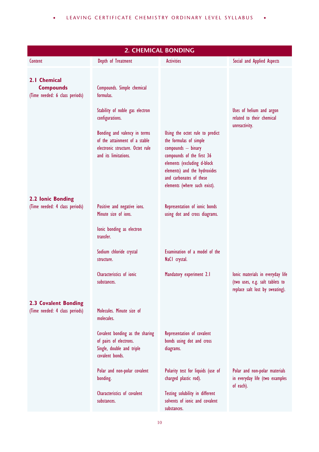<span id="page-13-0"></span>

| <b>2. CHEMICAL BONDING</b>                                         |                                                                                                                           |                                                                                                                                                                                                                                          |                                                                                                        |
|--------------------------------------------------------------------|---------------------------------------------------------------------------------------------------------------------------|------------------------------------------------------------------------------------------------------------------------------------------------------------------------------------------------------------------------------------------|--------------------------------------------------------------------------------------------------------|
| Content                                                            | Depth of Treatment                                                                                                        | <b>Activities</b>                                                                                                                                                                                                                        | Social and Applied Aspects                                                                             |
| 2.1 Chemical<br><b>Compounds</b><br>(Time needed: 6 class periods) | Compounds. Simple chemical<br>formulas.                                                                                   |                                                                                                                                                                                                                                          |                                                                                                        |
|                                                                    | Stability of noble gas electron<br>configurations.                                                                        |                                                                                                                                                                                                                                          | Uses of helium and argon<br>related to their chemical<br>unreactivity.                                 |
|                                                                    | Bonding and valency in terms<br>of the attainment of a stable<br>electronic structure. Octet rule<br>and its limitations. | Using the octet rule to predict<br>the formulas of simple<br>$compounds - binary$<br>compounds of the first 36<br>elements (excluding d-block<br>elements) and the hydroxides<br>and carbonates of these<br>elements (where such exist). |                                                                                                        |
| 2.2 Ionic Bonding<br>(Time needed: 4 class periods)                | Positive and negative ions.<br>Minute size of ions.                                                                       | Representation of ionic bonds<br>using dot and cross diagrams.                                                                                                                                                                           |                                                                                                        |
|                                                                    | lonic bonding as electron<br>transfer.                                                                                    |                                                                                                                                                                                                                                          |                                                                                                        |
|                                                                    | Sodium chloride crystal<br>structure.                                                                                     | Examination of a model of the<br>NaCl crystal.                                                                                                                                                                                           |                                                                                                        |
|                                                                    | Characteristics of ionic<br>substances.                                                                                   | Mandatory experiment 2.1                                                                                                                                                                                                                 | lonic materials in everyday life<br>(two uses, e.g. salt tablets to<br>replace salt lost by sweating). |
| 2.3 Covalent Bonding<br>(Time needed: 4 class periods)             | Molecules. Minute size of<br>molecules.                                                                                   |                                                                                                                                                                                                                                          |                                                                                                        |
|                                                                    | Covalent bonding as the sharing<br>of pairs of electrons.<br>Single, double and triple<br>covalent bonds.                 | Representation of covalent<br>bonds using dot and cross<br>diagrams.                                                                                                                                                                     |                                                                                                        |
|                                                                    | Polar and non-polar covalent<br>bonding.                                                                                  | Polarity test for liquids (use of<br>charged plastic rod).                                                                                                                                                                               | Polar and non-polar materials<br>in everyday life (two examples<br>of each).                           |
|                                                                    | Characteristics of covalent<br>substances.                                                                                | Testing solubility in different<br>solvents of ionic and covalent<br>substances.                                                                                                                                                         |                                                                                                        |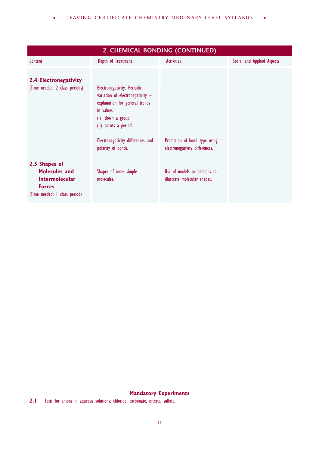| 2. CHEMICAL BONDING (CONTINUED)                                                                                  |                                                                                                                                                                                                                                     |                                                                 |                            |  |
|------------------------------------------------------------------------------------------------------------------|-------------------------------------------------------------------------------------------------------------------------------------------------------------------------------------------------------------------------------------|-----------------------------------------------------------------|----------------------------|--|
| Content                                                                                                          | Depth of Treatment                                                                                                                                                                                                                  | <b>Activities</b>                                               | Social and Applied Aspects |  |
| <b>2.4 Electronegativity</b><br>(Time needed: 2 class periods)                                                   | <b>Electronegativity. Periodic</b><br>variation of electronegativity $-$<br>explanation for general trends<br>in values:<br>down a group<br>(i)<br>(ii) across a period.<br>Electronegativity differences and<br>polarity of bonds. | Prediction of bond type using<br>electronegativity differences. |                            |  |
| 2.5 Shapes of<br><b>Molecules and</b><br><b>Intermolecular</b><br><b>Forces</b><br>(Time needed: I class period) | Shapes of some simple<br>molecules.                                                                                                                                                                                                 | Use of models or balloons to<br>illustrate molecular shapes.    |                            |  |

**<sup>2.1</sup>** Tests for anions in aqueous solutions: chloride, carbonate, nitrate, sulfate.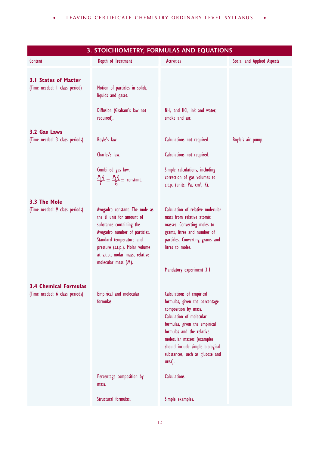<span id="page-15-0"></span>

| 3. STOICHIOMETRY, FORMULAS AND EQUATIONS                       |                                                                                                                                                                                                                                                        |                                                                                                                                                                                                                                                                                                               |                            |
|----------------------------------------------------------------|--------------------------------------------------------------------------------------------------------------------------------------------------------------------------------------------------------------------------------------------------------|---------------------------------------------------------------------------------------------------------------------------------------------------------------------------------------------------------------------------------------------------------------------------------------------------------------|----------------------------|
| Content                                                        | Depth of Treatment                                                                                                                                                                                                                                     | <b>Activities</b>                                                                                                                                                                                                                                                                                             | Social and Applied Aspects |
| <b>3.1 States of Matter</b><br>(Time needed: I class period)   | Motion of particles in solids,<br>liquids and gases.<br>Diffusion (Graham's law not<br>required).                                                                                                                                                      | NH <sub>3</sub> and HCl, ink and water,<br>smoke and air.                                                                                                                                                                                                                                                     |                            |
| 3.2 Gas Laws<br>(Time needed: 3 class periods)                 | Boyle's law.<br>Charles's law.<br>Combined gas law:<br>$\frac{P_1V_1}{T_1} = \frac{P_2V_2}{T_2} =$ constant.                                                                                                                                           | Calculations not required.<br>Calculations not required.<br>Simple calculations, including<br>correction of gas volumes to<br>s.t.p. (units: Pa, cm <sup>3</sup> , K).                                                                                                                                        | Boyle's air pump.          |
| 3.3 The Mole<br>(Time needed: 9 class periods)                 | Avogadro constant. The mole as<br>the SI unit for amount of<br>substance containing the<br>Avogadro number of particles.<br>Standard temperature and<br>pressure (s.t.p.). Molar volume<br>at s.t.p., molar mass, relative<br>molecular mass $(M_r)$ . | Calculation of relative molecular<br>mass from relative atomic<br>masses. Converting moles to<br>grams, litres and number of<br>particles. Converting grams and<br>litres to moles.<br>Mandatory experiment 3.1                                                                                               |                            |
| <b>3.4 Chemical Formulas</b><br>(Time needed: 6 class periods) | Empirical and molecular<br>formulas.<br>Percentage composition by                                                                                                                                                                                      | Calculations of empirical<br>formulas, given the percentage<br>composition by mass.<br>Calculation of molecular<br>formulas, given the empirical<br>formulas and the relative<br>molecular masses (examples<br>should include simple biological<br>substances, such as glucose and<br>urea).<br>Calculations. |                            |
|                                                                | mass.<br>Structural formulas.                                                                                                                                                                                                                          | Simple examples.                                                                                                                                                                                                                                                                                              |                            |
|                                                                |                                                                                                                                                                                                                                                        |                                                                                                                                                                                                                                                                                                               |                            |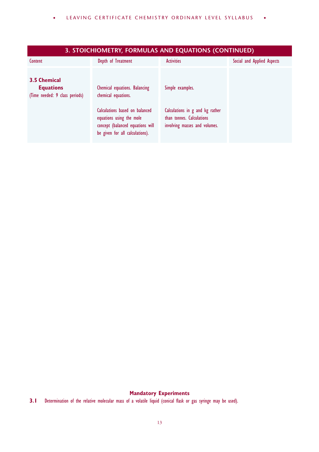| 3. STOICHIOMETRY, FORMULAS AND EQUATIONS (CONTINUED)                      |                                                                                                                                                                                           |                                                                                                                   |                            |  |
|---------------------------------------------------------------------------|-------------------------------------------------------------------------------------------------------------------------------------------------------------------------------------------|-------------------------------------------------------------------------------------------------------------------|----------------------------|--|
| Content                                                                   | Depth of Treatment                                                                                                                                                                        | <b>Activities</b>                                                                                                 | Social and Applied Aspects |  |
| <b>3.5 Chemical</b><br><b>Equations</b><br>(Time needed: 9 class periods) | Chemical equations. Balancing<br>chemical equations.<br>Calculations based on balanced<br>equations using the mole<br>concept (balanced equations will<br>be given for all calculations). | Simple examples.<br>Calculations in g and kg rather<br>than tonnes. Calculations<br>involving masses and volumes. |                            |  |

**<sup>3.1</sup>** Determination of the relative molecular mass of a volatile liquid (conical flask or gas syringe may be used).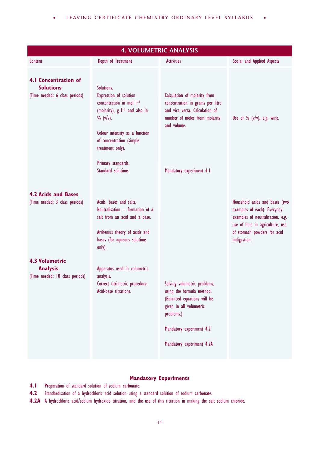<span id="page-17-0"></span>

| <b>4. VOLUMETRIC ANALYSIS</b>                                                     |                                                                                                                                                                                                                |                                                                                                                                                                                            |                                                                                                                                                                                     |  |
|-----------------------------------------------------------------------------------|----------------------------------------------------------------------------------------------------------------------------------------------------------------------------------------------------------------|--------------------------------------------------------------------------------------------------------------------------------------------------------------------------------------------|-------------------------------------------------------------------------------------------------------------------------------------------------------------------------------------|--|
| Content                                                                           | Depth of Treatment                                                                                                                                                                                             | <b>Activities</b>                                                                                                                                                                          | Social and Applied Aspects                                                                                                                                                          |  |
| <b>4.1 Concentration of</b><br><b>Solutions</b><br>(Time needed: 6 class periods) | Solutions.<br><b>Expression of solution</b><br>concentration in mol I-I<br>(molarity), $g \vdash$ and also in<br>$\%$ (v/v).<br>Colour intensity as a function<br>of concentration (simple<br>treatment only). | Calculation of molarity from<br>concentration in grams per litre<br>and vice versa. Calculation of<br>number of moles from molarity<br>and volume.                                         | Use of $\%$ (v/v), e.g. wine.                                                                                                                                                       |  |
|                                                                                   | Primary standards.<br>Standard solutions.                                                                                                                                                                      | Mandatory experiment 4.1                                                                                                                                                                   |                                                                                                                                                                                     |  |
| <b>4.2 Acids and Bases</b><br>(Time needed: 3 class periods)                      | Acids, bases and salts.<br>Neutralisation - formation of a<br>salt from an acid and a base.<br>Arrhenius theory of acids and<br>bases (for aqueous solutions<br>only).                                         |                                                                                                                                                                                            | Household acids and bases (two<br>examples of each). Everyday<br>examples of neutralisation, e.g.<br>use of lime in agriculture, use<br>of stomach powders for acid<br>indigestion. |  |
| <b>4.3 Volumetric</b><br><b>Analysis</b>                                          | Apparatus used in volumetric                                                                                                                                                                                   |                                                                                                                                                                                            |                                                                                                                                                                                     |  |
| (Time needed: 10 class periods)                                                   | analysis.<br>Correct titrimetric procedure.<br>Acid-base titrations.                                                                                                                                           | Solving volumetric problems,<br>using the formula method.<br>(Balanced equations will be<br>given in all volumetric<br>problems.)<br>Mandatory experiment 4.2<br>Mandatory experiment 4.2A |                                                                                                                                                                                     |  |

- **4.1** Preparation of standard solution of sodium carbonate.
- **4.2** Standardisation of a hydrochloric acid solution using a standard solution of sodium carbonate.
- **4.2A** A hydrochloric acid/sodium hydroxide titration, and the use of this titration in making the salt sodium chloride.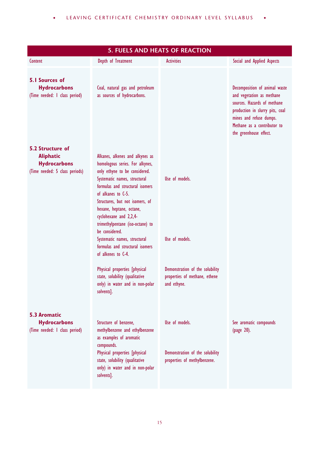<span id="page-18-0"></span>

| <b>5. FUELS AND HEATS OF REACTION</b>                                                                |                                                                                                                                                                                                                                                                                                                                                                                                                                                                                                                                                          |                                                                                                                     |                                                                                                                                                                                                                  |  |
|------------------------------------------------------------------------------------------------------|----------------------------------------------------------------------------------------------------------------------------------------------------------------------------------------------------------------------------------------------------------------------------------------------------------------------------------------------------------------------------------------------------------------------------------------------------------------------------------------------------------------------------------------------------------|---------------------------------------------------------------------------------------------------------------------|------------------------------------------------------------------------------------------------------------------------------------------------------------------------------------------------------------------|--|
| Content                                                                                              | Depth of Treatment                                                                                                                                                                                                                                                                                                                                                                                                                                                                                                                                       | <b>Activities</b>                                                                                                   | Social and Applied Aspects                                                                                                                                                                                       |  |
| <b>5.1 Sources of</b><br><b>Hydrocarbons</b><br>(Time needed: I class period)                        | Coal, natural gas and petroleum<br>as sources of hydrocarbons.                                                                                                                                                                                                                                                                                                                                                                                                                                                                                           |                                                                                                                     | Decomposition of animal waste<br>and vegetation as methane<br>sources. Hazards of methane<br>production in slurry pits, coal<br>mines and refuse dumps.<br>Methane as a contributor to<br>the greenhouse effect. |  |
| <b>5.2 Structure of</b><br><b>Aliphatic</b><br><b>Hydrocarbons</b><br>(Time needed: 5 class periods) | Alkanes, alkenes and alkynes as<br>homologous series. For alkynes,<br>only ethyne to be considered.<br>Systematic names, structural<br>formulas and structural isomers<br>of alkanes to C-5.<br>Structures, but not isomers, of<br>hexane, heptane, octane,<br>cyclohexane and 2,2,4-<br>trimethylpentane (iso-octane) to<br>be considered.<br>Systematic names, structural<br>formulas and structural isomers<br>of alkenes to C-4.<br>Physical properties [physical<br>state, solubility (qualitative<br>only) in water and in non-polar<br>solvents]. | Use of models.<br>Use of models.<br>Demonstration of the solubility<br>properties of methane, ethene<br>and ethyne. |                                                                                                                                                                                                                  |  |
| <b>5.3 Aromatic</b><br><b>Hydrocarbons</b><br>(Time needed: I class period)                          | Structure of benzene,<br>methylbenzene and ethylbenzene<br>as examples of aromatic<br>compounds.<br>Physical properties [physical<br>state, solubility (qualitative<br>only) in water and in non-polar<br>solvents].                                                                                                                                                                                                                                                                                                                                     | Use of models.<br>Demonstration of the solubility<br>properties of methylbenzene.                                   | See aromatic compounds<br>(page 20).                                                                                                                                                                             |  |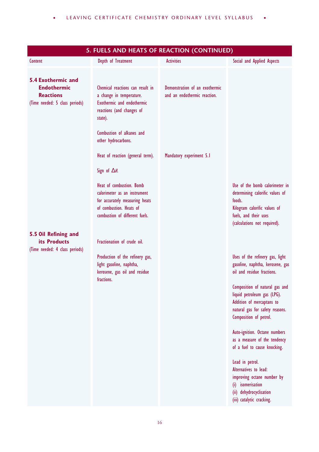| 5. FUELS AND HEATS OF REACTION (CONTINUED)                                                                                                    |                                                                                                                                                                                                                                                                                                                                                                                                                                              |                                                                                            |                                                                                                                                                                                                                                                                                                                                                                                                                                                                                                                         |  |  |
|-----------------------------------------------------------------------------------------------------------------------------------------------|----------------------------------------------------------------------------------------------------------------------------------------------------------------------------------------------------------------------------------------------------------------------------------------------------------------------------------------------------------------------------------------------------------------------------------------------|--------------------------------------------------------------------------------------------|-------------------------------------------------------------------------------------------------------------------------------------------------------------------------------------------------------------------------------------------------------------------------------------------------------------------------------------------------------------------------------------------------------------------------------------------------------------------------------------------------------------------------|--|--|
| Content                                                                                                                                       | Depth of Treatment                                                                                                                                                                                                                                                                                                                                                                                                                           | <b>Activities</b>                                                                          | Social and Applied Aspects                                                                                                                                                                                                                                                                                                                                                                                                                                                                                              |  |  |
| <b>5.4 Exothermic and</b><br><b>Endothermic</b><br><b>Reactions</b><br>(Time needed: 5 class periods)<br>5.5 Oil Refining and<br>its Products | Chemical reactions can result in<br>a change in temperature.<br>Exothermic and endothermic<br>reactions (and changes of<br>state).<br>Combustion of alkanes and<br>other hydrocarbons.<br>Heat of reaction (general term).<br>Sign of $\Delta H$ .<br>Heat of combustion. Bomb<br>calorimeter as an instrument<br>for accurately measuring heats<br>of combustion. Heats of<br>combustion of different fuels.<br>Fractionation of crude oil. | Demonstration of an exothermic<br>and an endothermic reaction.<br>Mandatory experiment 5.1 | Use of the bomb calorimeter in<br>determining calorific values of<br>foods.<br>Kilogram calorific values of<br>fuels, and their uses<br>(calculations not required).                                                                                                                                                                                                                                                                                                                                                    |  |  |
| (Time needed: 4 class periods)                                                                                                                | Production of the refinery gas,<br>light gasoline, naphtha,<br>kerosene, gas oil and residue<br>fractions.                                                                                                                                                                                                                                                                                                                                   |                                                                                            | Uses of the refinery gas, light<br>gasoline, naphtha, kerosene, gas<br>oil and residue fractions.<br>Composition of natural gas and<br>liquid petroleum gas (LPG).<br>Addition of mercaptans to<br>natural gas for safety reasons.<br>Composition of petrol.<br>Auto-ignition. Octane numbers<br>as a measure of the tendency<br>of a fuel to cause knocking.<br>Lead in petrol.<br>Alternatives to lead:<br>improving octane number by<br>isomerisation<br>(i)<br>(ii) dehydrocyclisation<br>(iii) catalytic cracking. |  |  |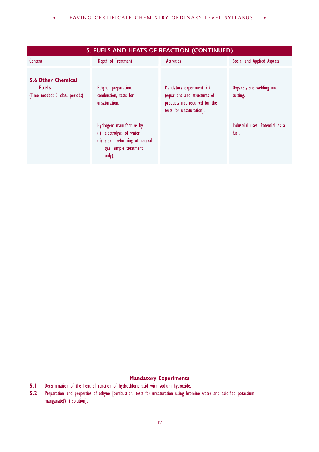| 5. FUELS AND HEATS OF REACTION (CONTINUED)                                  |                                                                                                                                   |                                                                                                                       |                                          |  |  |
|-----------------------------------------------------------------------------|-----------------------------------------------------------------------------------------------------------------------------------|-----------------------------------------------------------------------------------------------------------------------|------------------------------------------|--|--|
| Content                                                                     | Depth of Treatment                                                                                                                | <b>Activities</b>                                                                                                     | Social and Applied Aspects               |  |  |
| <b>5.6 Other Chemical</b><br><b>Fuels</b><br>(Time needed: 3 class periods) | Ethyne: preparation,<br>combustion, tests for<br>unsaturation.                                                                    | Mandatory experiment 5.2<br>(equations and structures of<br>products not required for the<br>tests for unsaturation). | Oxyacetylene welding and<br>cutting.     |  |  |
|                                                                             | Hydrogen: manufacture by<br>electrolysis of water<br>(1)<br>steam reforming of natural<br>(ii)<br>gas (simple treatment<br>only). |                                                                                                                       | Industrial uses. Potential as a<br>fuel. |  |  |

- **5.1** Determination of the heat of reaction of hydrochloric acid with sodium hydroxide.
- **5.2** Preparation and properties of ethyne [combustion, tests for unsaturation using bromine water and acidified potassium manganate(VII) solution].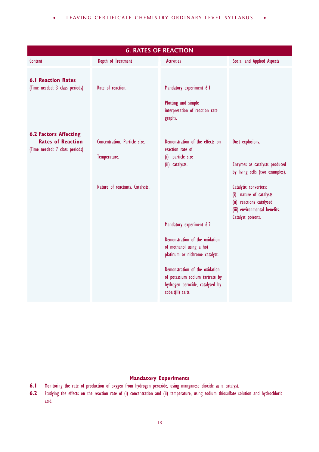<span id="page-21-0"></span>

| <b>6. RATES OF REACTION</b>                                                                |                                                                                  |                                                                                                                                                                                                                                                      |                                                                                                               |  |  |
|--------------------------------------------------------------------------------------------|----------------------------------------------------------------------------------|------------------------------------------------------------------------------------------------------------------------------------------------------------------------------------------------------------------------------------------------------|---------------------------------------------------------------------------------------------------------------|--|--|
| Content                                                                                    | Depth of Treatment                                                               | <b>Activities</b>                                                                                                                                                                                                                                    | Social and Applied Aspects                                                                                    |  |  |
| <b>6.1 Reaction Rates</b><br>(Time needed: 3 class periods)                                | Rate of reaction.                                                                | Mandatory experiment 6.1<br>Plotting and simple<br>interpretation of reaction rate<br>graphs.                                                                                                                                                        |                                                                                                               |  |  |
| <b>6.2 Factors Affecting</b><br><b>Rates of Reaction</b><br>(Time needed: 7 class periods) | Concentration. Particle size.<br>Temperature.<br>Nature of reactants. Catalysts. | Demonstration of the effects on<br>reaction rate of<br>(i) particle size<br>(ii) catalysts.                                                                                                                                                          | Dust explosions.<br>Enzymes as catalysts produced<br>by living cells (two examples).<br>Catalytic converters: |  |  |
|                                                                                            |                                                                                  | Mandatory experiment 6.2<br>Demonstration of the oxidation<br>of methanol using a hot<br>platinum or nichrome catalyst.<br>Demonstration of the oxidation<br>of potassium sodium tartrate by<br>hydrogen peroxide, catalysed by<br>cobalt(II) salts. | (i) nature of catalysts<br>(ii) reactions catalysed<br>(iii) environmental benefits.<br>Catalyst poisons.     |  |  |

- **6.1** Monitoring the rate of production of oxygen from hydrogen peroxide, using manganese dioxide as a catalyst.
- **6.2** Studying the effects on the reaction rate of (i) concentration and (ii) temperature, using sodium thiosulfate solution and hydrochloric acid.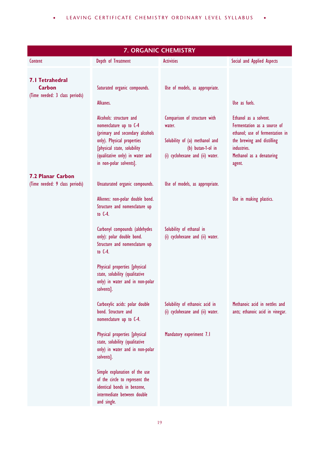<span id="page-22-0"></span>

| <b>7. ORGANIC CHEMISTRY</b>                                               |                                                                                                                                                                                                                 |                                                                                                                                  |                                                                                                                                                                            |  |  |
|---------------------------------------------------------------------------|-----------------------------------------------------------------------------------------------------------------------------------------------------------------------------------------------------------------|----------------------------------------------------------------------------------------------------------------------------------|----------------------------------------------------------------------------------------------------------------------------------------------------------------------------|--|--|
| Content                                                                   | Depth of Treatment                                                                                                                                                                                              | <b>Activities</b>                                                                                                                | Social and Applied Aspects                                                                                                                                                 |  |  |
| <b>7.1 Tetrahedral</b><br><b>Carbon</b><br>(Time needed: 3 class periods) | Saturated organic compounds.<br>Alkanes.                                                                                                                                                                        | Use of models, as appropriate.                                                                                                   | Use as fuels.                                                                                                                                                              |  |  |
|                                                                           | Alcohols: structure and<br>nomenclature up to C-4<br>(primary and secondary alcohols<br>only). Physical properties<br>[physical state, solubility<br>(qualitative only) in water and<br>in non-polar solvents]. | Comparison of structure with<br>water.<br>Solubility of (a) methanol and<br>(b) butan-1-ol in<br>(i) cyclohexane and (ii) water. | Ethanol as a solvent.<br>Fermentation as a source of<br>ethanol; use of fermentation in<br>the brewing and distilling<br>industries.<br>Methanol as a denaturing<br>agent. |  |  |
| 7.2 Planar Carbon                                                         |                                                                                                                                                                                                                 |                                                                                                                                  |                                                                                                                                                                            |  |  |
| (Time needed: 9 class periods)                                            | Unsaturated organic compounds.                                                                                                                                                                                  | Use of models, as appropriate.                                                                                                   |                                                                                                                                                                            |  |  |
|                                                                           | Alkenes: non-polar double bond.<br>Structure and nomenclature up<br>to $C-4$ .                                                                                                                                  |                                                                                                                                  | Use in making plastics.                                                                                                                                                    |  |  |
|                                                                           | Carbonyl compounds (aldehydes<br>only): polar double bond.<br>Structure and nomenclature up<br>to C-4.                                                                                                          | Solubility of ethanal in<br>(i) cyclohexane and (ii) water.                                                                      |                                                                                                                                                                            |  |  |
|                                                                           | Physical properties [physical<br>state, solubility (qualitative<br>only) in water and in non-polar<br>solvents].                                                                                                |                                                                                                                                  |                                                                                                                                                                            |  |  |
|                                                                           | Carboxylic acids: polar double<br>bond. Structure and<br>nomenclature up to C-4.                                                                                                                                | Solubility of ethanoic acid in<br>(i) cyclohexane and (ii) water.                                                                | Methanoic acid in nettles and<br>ants; ethanoic acid in vinegar.                                                                                                           |  |  |
|                                                                           | Physical properties [physical<br>state, solubility (qualitative<br>only) in water and in non-polar<br>solvents].                                                                                                | Mandatory experiment 7.1                                                                                                         |                                                                                                                                                                            |  |  |
|                                                                           | Simple explanation of the use<br>of the circle to represent the<br>identical bonds in benzene,<br>intermediate between double<br>and single.                                                                    |                                                                                                                                  |                                                                                                                                                                            |  |  |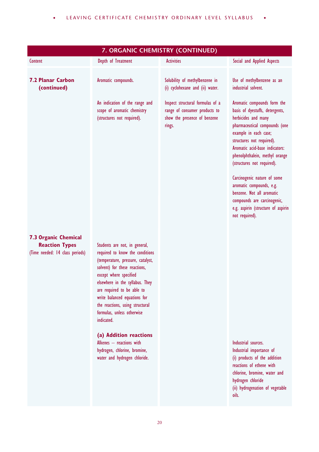|                                                                                         |                                                                                                                                                                                                                                                                                                                                                                                                                                                                        | 7. ORGANIC CHEMISTRY (CONTINUED)                                                                            |                                                                                                                                                                                                                                                                                |
|-----------------------------------------------------------------------------------------|------------------------------------------------------------------------------------------------------------------------------------------------------------------------------------------------------------------------------------------------------------------------------------------------------------------------------------------------------------------------------------------------------------------------------------------------------------------------|-------------------------------------------------------------------------------------------------------------|--------------------------------------------------------------------------------------------------------------------------------------------------------------------------------------------------------------------------------------------------------------------------------|
| Content                                                                                 | Depth of Treatment                                                                                                                                                                                                                                                                                                                                                                                                                                                     | <b>Activities</b>                                                                                           | Social and Applied Aspects                                                                                                                                                                                                                                                     |
| <b>7.2 Planar Carbon</b><br>(continued)                                                 | Aromatic compounds.                                                                                                                                                                                                                                                                                                                                                                                                                                                    | Solubility of methylbenzene in<br>(i) cyclohexane and (ii) water.                                           | Use of methylbenzene as an<br>industrial solvent.                                                                                                                                                                                                                              |
|                                                                                         | An indication of the range and<br>scope of aromatic chemistry<br>(structures not required).                                                                                                                                                                                                                                                                                                                                                                            | Inspect structural formulas of a<br>range of consumer products to<br>show the presence of benzene<br>rings. | Aromatic compounds form the<br>basis of dyestuffs, detergents,<br>herbicides and many<br>pharmaceutical compounds (one<br>example in each case;<br>structures not required).<br>Aromatic acid-base indicators:<br>phenolphthalein, methyl orange<br>(structures not required). |
|                                                                                         |                                                                                                                                                                                                                                                                                                                                                                                                                                                                        |                                                                                                             | Carcinogenic nature of some<br>aromatic compounds, e.g.<br>benzene. Not all aromatic<br>compounds are carcinogenic,<br>e.g. aspirin (structure of aspirin<br>not required).                                                                                                    |
| <b>7.3 Organic Chemical</b><br><b>Reaction Types</b><br>(Time needed: 14 class periods) | Students are not, in general,<br>required to know the conditions<br>(temperature, pressure, catalyst,<br>solvent) for these reactions,<br>except where specified<br>elsewhere in the syllabus. They<br>are required to be able to<br>write balanced equations for<br>the reactions, using structural<br>formulas, unless otherwise<br>indicated.<br>(a) Addition reactions<br>Alkenes - reactions with<br>hydrogen, chlorine, bromine,<br>water and hydrogen chloride. |                                                                                                             | Industrial sources.<br>Industrial importance of<br>(i) products of the addition<br>reactions of ethene with<br>chlorine, bromine, water and<br>hydrogen chloride<br>(ii) hydrogenation of vegetable<br>oils.                                                                   |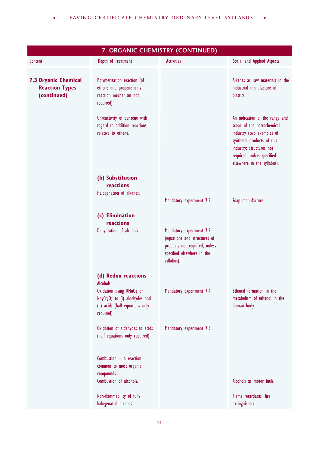| 7. ORGANIC CHEMISTRY (CONTINUED)                                    |                                                                                                                                                                           |                                                                                                                                       |                                                                                                                                                                                                                  |  |
|---------------------------------------------------------------------|---------------------------------------------------------------------------------------------------------------------------------------------------------------------------|---------------------------------------------------------------------------------------------------------------------------------------|------------------------------------------------------------------------------------------------------------------------------------------------------------------------------------------------------------------|--|
| Content                                                             | Depth of Treatment                                                                                                                                                        | <b>Activities</b>                                                                                                                     | Social and Applied Aspects                                                                                                                                                                                       |  |
| <b>7.3 Organic Chemical</b><br><b>Reaction Types</b><br>(continued) | Polymerisation reaction (of<br>ethene and propene only -<br>reaction mechanism not<br>required).                                                                          |                                                                                                                                       | Alkenes as raw materials in the<br>industrial manufacture of<br>plastics.                                                                                                                                        |  |
|                                                                     | Unreactivity of benzene with<br>regard to addition reactions,<br>relative to ethene.                                                                                      |                                                                                                                                       | An indication of the range and<br>scope of the petrochemical<br>industry (two examples of<br>synthetic products of this<br>industry; structures not<br>required, unless specified<br>elsewhere in the syllabus). |  |
|                                                                     | (b) Substitution                                                                                                                                                          |                                                                                                                                       |                                                                                                                                                                                                                  |  |
|                                                                     | reactions<br>Halogenation of alkanes.                                                                                                                                     |                                                                                                                                       |                                                                                                                                                                                                                  |  |
|                                                                     |                                                                                                                                                                           | Mandatory experiment 7.2                                                                                                              | Soap manufacture.                                                                                                                                                                                                |  |
|                                                                     | (c) Elimination<br>reactions                                                                                                                                              |                                                                                                                                       |                                                                                                                                                                                                                  |  |
|                                                                     | Dehydration of alcohols.                                                                                                                                                  | Mandatory experiment 7.3<br>(equations and structures of<br>products not required, unless<br>specified elsewhere in the<br>syllabus). |                                                                                                                                                                                                                  |  |
|                                                                     | (d) Redox reactions                                                                                                                                                       |                                                                                                                                       |                                                                                                                                                                                                                  |  |
|                                                                     | Alcohols:<br>Oxidation using KMnO <sub>4</sub> or<br>Na <sub>2</sub> Cr <sub>2</sub> O <sub>7</sub> to (i) aldehydes and<br>(ii) acids (half equations only<br>required). | Mandatory experiment 7.4                                                                                                              | Ethanal formation in the<br>metabolism of ethanol in the<br>human body.                                                                                                                                          |  |
|                                                                     | Oxidation of aldehydes to acids<br>(half equations only required).                                                                                                        | Mandatory experiment 7.5                                                                                                              |                                                                                                                                                                                                                  |  |
|                                                                     | Combustion $-$ a reaction<br>common to most organic<br>compounds.                                                                                                         |                                                                                                                                       |                                                                                                                                                                                                                  |  |
|                                                                     | Combustion of alcohols.                                                                                                                                                   |                                                                                                                                       | Alcohols as motor fuels.                                                                                                                                                                                         |  |
|                                                                     | Non-flammability of fully<br>halogenated alkanes.                                                                                                                         |                                                                                                                                       | Flame retardants, fire<br>extinguishers.                                                                                                                                                                         |  |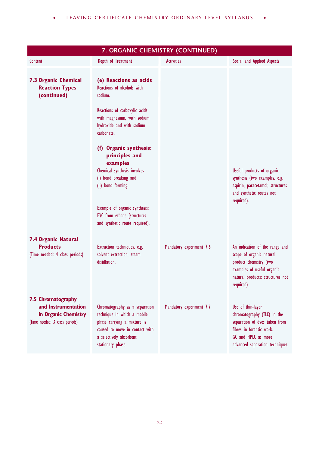| 7. ORGANIC CHEMISTRY (CONTINUED)                                                                    |                                                                                                                                                                                |                          |                                                                                                                                                                         |  |  |
|-----------------------------------------------------------------------------------------------------|--------------------------------------------------------------------------------------------------------------------------------------------------------------------------------|--------------------------|-------------------------------------------------------------------------------------------------------------------------------------------------------------------------|--|--|
| Content                                                                                             | Depth of Treatment                                                                                                                                                             | <b>Activities</b>        | Social and Applied Aspects                                                                                                                                              |  |  |
| <b>7.3 Organic Chemical</b><br><b>Reaction Types</b><br>(continued)                                 | (e) Reactions as acids<br>Reactions of alcohols with<br>sodium.                                                                                                                |                          |                                                                                                                                                                         |  |  |
|                                                                                                     | Reactions of carboxylic acids<br>with magnesium, with sodium<br>hydroxide and with sodium<br>carbonate.                                                                        |                          |                                                                                                                                                                         |  |  |
|                                                                                                     | (f) Organic synthesis:<br>principles and<br>examples                                                                                                                           |                          |                                                                                                                                                                         |  |  |
|                                                                                                     | Chemical synthesis involves<br>(i) bond breaking and<br>(ii) bond forming.                                                                                                     |                          | Useful products of organic<br>synthesis (two examples, e.g.<br>aspirin, paracetamol; structures<br>and synthetic routes not<br>required).                               |  |  |
|                                                                                                     | Example of organic synthesis:<br>PVC from ethene (structures<br>and synthetic route required).                                                                                 |                          |                                                                                                                                                                         |  |  |
| 7.4 Organic Natural<br><b>Products</b><br>(Time needed: 4 class periods)                            | Extraction techniques, e.g.<br>solvent extraction, steam<br>distillation.                                                                                                      | Mandatory experiment 7.6 | An indication of the range and<br>scope of organic natural<br>product chemistry (two<br>examples of useful organic<br>natural products; structures not<br>required).    |  |  |
| 7.5 Chromatography<br>and Instrumentation<br>in Organic Chemistry<br>(Time needed: 3 class periods) | Chromatography as a separation<br>technique in which a mobile<br>phase carrying a mixture is<br>caused to move in contact with<br>a selectively absorbent<br>stationary phase. | Mandatory experiment 7.7 | Use of thin-layer<br>chromatography (TLC) in the<br>separation of dyes taken from<br>fibres in forensic work.<br>GC and HPLC as more<br>advanced separation techniques. |  |  |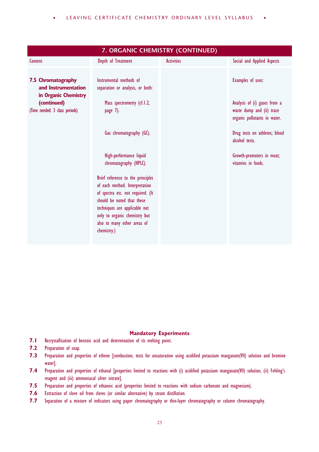| 7. ORGANIC CHEMISTRY (CONTINUED)                                  |                                                                                                                                                                                                                                                        |                   |                                                                                           |  |  |
|-------------------------------------------------------------------|--------------------------------------------------------------------------------------------------------------------------------------------------------------------------------------------------------------------------------------------------------|-------------------|-------------------------------------------------------------------------------------------|--|--|
| Content                                                           | Depth of Treatment                                                                                                                                                                                                                                     | <b>Activities</b> | Social and Applied Aspects                                                                |  |  |
| 7.5 Chromatography<br>and Instrumentation<br>in Organic Chemistry | Instrumental methods of<br>separation or analysis, or both:                                                                                                                                                                                            |                   | Examples of uses:                                                                         |  |  |
| (continued)<br>(Time needed: 3 class periods)                     | Mass spectrometry (cf.1.2,<br>page 7).                                                                                                                                                                                                                 |                   | Analysis of (i) gases from a<br>waste dump and (ii) trace<br>organic pollutants in water. |  |  |
|                                                                   | Gas chromatography (GC).                                                                                                                                                                                                                               |                   | Drug tests on athletes; blood<br>alcohol tests.                                           |  |  |
|                                                                   | High-performance liquid<br>chromatography (HPLC).                                                                                                                                                                                                      |                   | Growth-promoters in meat;<br>vitamins in foods.                                           |  |  |
|                                                                   | Brief reference to the principles<br>of each method. Interpretation<br>of spectra etc. not required. (It<br>should be noted that these<br>techniques are applicable not<br>only to organic chemistry but<br>also to many other areas of<br>chemistry.) |                   |                                                                                           |  |  |

- **7.1** Recrystallisation of benzoic acid and determination of its melting point.
- **7.2** Preparation of soap.
- **7.3** Preparation and properties of ethene [combustion, tests for unsaturation using acidified potassium manganate(VII) solution and bromine water].
- **7.4** Preparation and properties of ethanal [properties limited to reactions with (i) acidified potassium manganate(VII) solution, (ii) Fehling's reagent and (iii) ammoniacal silver nitrate].
- **7.5** Preparation and properties of ethanoic acid (properties limited to reactions with sodium carbonate and magnesium).
- **7.6** Extraction of clove oil from cloves (or similar alternative) by steam distillation.
- **7.7** Separation of a mixture of indicators using paper chromatography or thin-layer chromatography or column chromatography.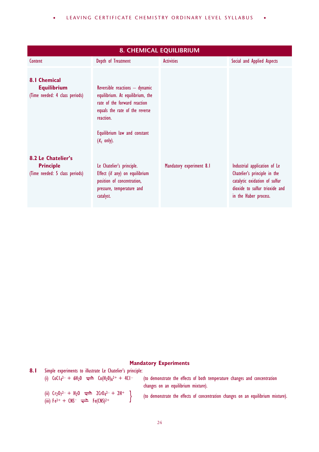<span id="page-27-0"></span>

| <b>8. CHEMICAL EQUILIBRIUM</b>                                                  |                                                                                                                                                                                                              |                          |                                                                                                                                                          |  |  |
|---------------------------------------------------------------------------------|--------------------------------------------------------------------------------------------------------------------------------------------------------------------------------------------------------------|--------------------------|----------------------------------------------------------------------------------------------------------------------------------------------------------|--|--|
| Content                                                                         | Depth of Treatment                                                                                                                                                                                           | <b>Activities</b>        | Social and Applied Aspects                                                                                                                               |  |  |
| <b>8.1 Chemical</b><br><b>Equilibrium</b><br>(Time needed: 4 class periods)     | Reversible reactions $-$ dynamic<br>equilibrium. At equilibrium, the<br>rate of the forward reaction<br>equals the rate of the reverse<br>reaction.<br>Equilibrium law and constant<br>$(K_c \text{ only}).$ |                          |                                                                                                                                                          |  |  |
| <b>8.2 Le Chatelier's</b><br><b>Principle</b><br>(Time needed: 5 class periods) | Le Chatelier's principle.<br>Effect (if any) on equilibrium<br>position of concentration,<br>pressure, temperature and<br>catalyst.                                                                          | Mandatory experiment 8.1 | Industrial application of Le<br>Chatelier's principle in the<br>catalytic oxidation of sulfur<br>dioxide to sulfur trioxide and<br>in the Haber process. |  |  |

|  | -8. I |  | Simple experiments to illustrate Le Chatelier's principle: |  |  |  |  |  |
|--|-------|--|------------------------------------------------------------|--|--|--|--|--|
|--|-------|--|------------------------------------------------------------|--|--|--|--|--|

(i)  $CoCl_4^{2-} + 6H_2O \implies Co(H_2O)_6$ 

(ii) Cr<sub>2</sub>O<sub>7</sub><sup>2—</sup> + H<sub>2</sub>O  $\implies$  2CrO<sub>4</sub><sup>2—</sup> + 2H<sup>+</sup> ) (to demonstrate the effects of concentration changes on an equilibrium mixture).<br>(iii) Fe<sup>3+</sup> + CNS<sup>—</sup>  $\implies$  Fe(CNS)<sup>2+</sup>

(to demonstrate the effects of both temperature changes and concentration changes on an equilibrium mixture).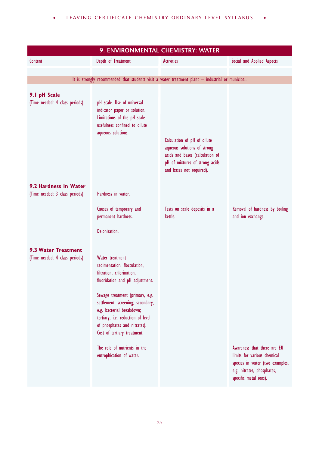<span id="page-28-0"></span>

| 9. ENVIRONMENTAL CHEMISTRY: WATER                     |                                                                                                                                                                                                                                                                                                                              |                                                                                                                                                             |                                                                                                                                                      |  |  |
|-------------------------------------------------------|------------------------------------------------------------------------------------------------------------------------------------------------------------------------------------------------------------------------------------------------------------------------------------------------------------------------------|-------------------------------------------------------------------------------------------------------------------------------------------------------------|------------------------------------------------------------------------------------------------------------------------------------------------------|--|--|
| Content                                               | Depth of Treatment                                                                                                                                                                                                                                                                                                           | <b>Activities</b>                                                                                                                                           | Social and Applied Aspects                                                                                                                           |  |  |
|                                                       |                                                                                                                                                                                                                                                                                                                              |                                                                                                                                                             |                                                                                                                                                      |  |  |
|                                                       |                                                                                                                                                                                                                                                                                                                              | It is strongly recommended that students visit a water treatment plant - industrial or municipal.                                                           |                                                                                                                                                      |  |  |
| 9.1 pH Scale<br>(Time needed: 4 class periods)        | pH scale. Use of universal<br>indicator paper or solution.<br>Limitations of the pH scale $-$<br>usefulness confined to dilute<br>aqueous solutions.                                                                                                                                                                         | Calculation of pH of dilute<br>aqueous solutions of strong<br>acids and bases (calculation of<br>pH of mixtures of strong acids<br>and bases not required). |                                                                                                                                                      |  |  |
| 9.2 Hardness in Water                                 |                                                                                                                                                                                                                                                                                                                              |                                                                                                                                                             |                                                                                                                                                      |  |  |
| (Time needed: 3 class periods)                        | Hardness in water.                                                                                                                                                                                                                                                                                                           |                                                                                                                                                             |                                                                                                                                                      |  |  |
|                                                       | Causes of temporary and<br>permanent hardness.<br>Deionisation.                                                                                                                                                                                                                                                              | Tests on scale deposits in a<br>kettle.                                                                                                                     | Removal of hardness by boiling<br>and ion exchange.                                                                                                  |  |  |
|                                                       |                                                                                                                                                                                                                                                                                                                              |                                                                                                                                                             |                                                                                                                                                      |  |  |
| 9.3 Water Treatment<br>(Time needed: 4 class periods) | Water treatment $-$<br>sedimentation, flocculation,<br>filtration, chlorination,<br>fluoridation and pH adjustment.<br>Sewage treatment (primary, e.g.<br>settlement, screening; secondary,<br>e.g. bacterial breakdown;<br>tertiary, i.e. reduction of level<br>of phosphates and nitrates).<br>Cost of tertiary treatment. |                                                                                                                                                             |                                                                                                                                                      |  |  |
|                                                       | The role of nutrients in the<br>eutrophication of water.                                                                                                                                                                                                                                                                     |                                                                                                                                                             | Awareness that there are EU<br>limits for various chemical<br>species in water (two examples,<br>e.g. nitrates, phosphates,<br>specific metal ions). |  |  |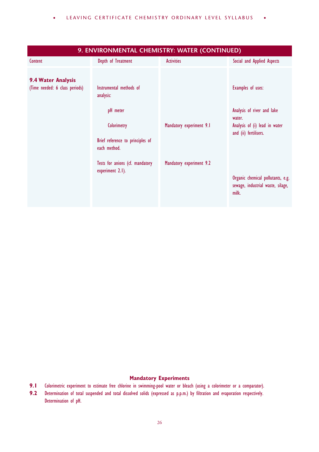| 9. ENVIRONMENTAL CHEMISTRY: WATER (CONTINUED)        |                                                                                                                     |                          |                                                                                                                     |
|------------------------------------------------------|---------------------------------------------------------------------------------------------------------------------|--------------------------|---------------------------------------------------------------------------------------------------------------------|
| Content                                              | Depth of Treatment                                                                                                  | <b>Activities</b>        | Social and Applied Aspects                                                                                          |
| 9.4 Water Analysis<br>(Time needed: 6 class periods) | Instrumental methods of<br>analysis:<br>pH meter<br>Colorimetry<br>Brief reference to principles of<br>each method. | Mandatory experiment 9.1 | Examples of uses:<br>Analysis of river and lake<br>water.<br>Analysis of (i) lead in water<br>and (ii) fertilisers. |
|                                                      | Tests for anions (cf. mandatory<br>experiment 2.1).                                                                 | Mandatory experiment 9.2 | Organic chemical pollutants, e.g.<br>sewage, industrial waste, silage,<br>milk.                                     |

- **9.1** Colorimetric experiment to estimate free chlorine in swimming-pool water or bleach (using a colorimeter or a comparator).
- **9.2** Determination of total suspended and total dissolved solids (expressed as p.p.m.) by filtration and evaporation respectively. Determination of pH.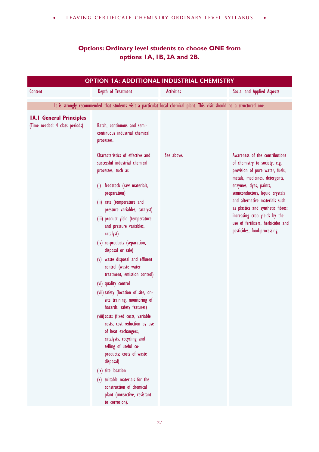# **Options: Ordinary level students to choose ONE from options 1A, 1B, 2A and 2B.**

<span id="page-30-0"></span>

|                                                                  |                                                                                                                                                                                                                                                                                                                                                                                                                                                                                                                                                                               | <b>OPTION 1A: ADDITIONAL INDUSTRIAL CHEMISTRY</b>                                                                        |                                                                                                                                                                                                                                                                                                                                                                                 |
|------------------------------------------------------------------|-------------------------------------------------------------------------------------------------------------------------------------------------------------------------------------------------------------------------------------------------------------------------------------------------------------------------------------------------------------------------------------------------------------------------------------------------------------------------------------------------------------------------------------------------------------------------------|--------------------------------------------------------------------------------------------------------------------------|---------------------------------------------------------------------------------------------------------------------------------------------------------------------------------------------------------------------------------------------------------------------------------------------------------------------------------------------------------------------------------|
| Content                                                          | Depth of Treatment                                                                                                                                                                                                                                                                                                                                                                                                                                                                                                                                                            | <b>Activities</b>                                                                                                        | Social and Applied Aspects                                                                                                                                                                                                                                                                                                                                                      |
|                                                                  |                                                                                                                                                                                                                                                                                                                                                                                                                                                                                                                                                                               | It is strongly recommended that students visit a particulat local chemical plant. This visit should be a structured one. |                                                                                                                                                                                                                                                                                                                                                                                 |
| <b>IA.I General Principles</b><br>(Time needed: 4 class periods) | Batch, continuous and semi-<br>continuous industrial chemical<br>processes.<br>Characteristics of effective and<br>successful industrial chemical<br>processes, such as<br>feedstock (raw materials,<br>$\vert$<br>preparation)<br>rate (temperature and<br>(11)<br>pressure variables, catalyst)<br>(iii) product yield (temperature<br>and pressure variables,<br>catalyst)<br>(iv) co-products (separation,                                                                                                                                                                | See above.                                                                                                               | Awareness of the contributions<br>of chemistry to society, e.g.<br>provision of pure water, fuels,<br>metals, medicines, detergents,<br>enzymes, dyes, paints,<br>semiconductors, liquid crystals<br>and alternative materials such<br>as plastics and synthetic fibres;<br>increasing crop yields by the<br>use of fertilisers, herbicides and<br>pesticides; food-processing. |
|                                                                  | disposal or sale)<br>(v) waste disposal and effluent<br>control (waste water<br>treatment, emission control)<br>(vi) quality control<br>(vii) safety (location of site, on-<br>site training, monitoring of<br>hazards, safety features)<br>(viii) costs (fixed costs, variable<br>costs; cost reduction by use<br>of heat exchangers,<br>catalysts, recycling and<br>selling of useful co-<br>products; costs of waste<br>disposal)<br>(ix) site location<br>suitable materials for the<br>(x)<br>construction of chemical<br>plant (unreactive, resistant<br>to corrosion). |                                                                                                                          |                                                                                                                                                                                                                                                                                                                                                                                 |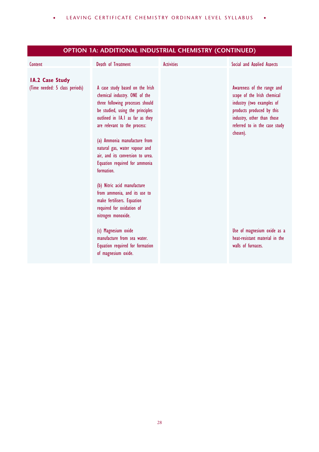| Content                                                  | Depth of Treatment                                                                                                                                                                                                                                                                                                                                                                                                                                                                                                                                                                                                              | <b>Activities</b> | Social and Applied Aspects                                                                                                                                                                                                                                                            |
|----------------------------------------------------------|---------------------------------------------------------------------------------------------------------------------------------------------------------------------------------------------------------------------------------------------------------------------------------------------------------------------------------------------------------------------------------------------------------------------------------------------------------------------------------------------------------------------------------------------------------------------------------------------------------------------------------|-------------------|---------------------------------------------------------------------------------------------------------------------------------------------------------------------------------------------------------------------------------------------------------------------------------------|
| <b>IA.2 Case Study</b><br>(Time needed: 5 class periods) | A case study based on the Irish<br>chemical industry. ONE of the<br>three following processes should<br>be studied, using the principles<br>outlined in IA.I as far as they<br>are relevant to the process:<br>(a) Ammonia manufacture from<br>natural gas, water vapour and<br>air, and its conversion to urea.<br>Equation required for ammonia<br>formation.<br>(b) Nitric acid manufacture<br>from ammonia, and its use to<br>make fertilisers. Equation<br>required for oxidation of<br>nitrogen monoxide.<br>(c) Magnesium oxide<br>manufacture from sea water.<br>Equation required for formation<br>of magnesium oxide. |                   | Awareness of the range and<br>scope of the Irish chemical<br>industry (two examples of<br>products produced by this<br>industry, other than those<br>referred to in the case study<br>chosen).<br>Use of magnesium oxide as a<br>heat-resistant material in the<br>walls of furnaces. |

# **OPTION 1A: ADDITIONAL INDUSTRIAL CHEMISTRY (CONTINUED)**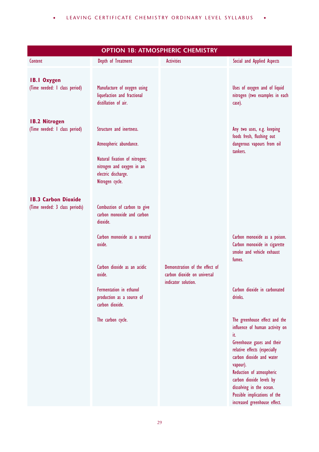<span id="page-32-0"></span>

| <b>OPTION 1B: ATMOSPHERIC CHEMISTRY</b>                      |                                                                                                                                                                                                                                                           |                                                                                      |                                                                                                                                                                                                                                                                                                                                                                                                                                                                                    |
|--------------------------------------------------------------|-----------------------------------------------------------------------------------------------------------------------------------------------------------------------------------------------------------------------------------------------------------|--------------------------------------------------------------------------------------|------------------------------------------------------------------------------------------------------------------------------------------------------------------------------------------------------------------------------------------------------------------------------------------------------------------------------------------------------------------------------------------------------------------------------------------------------------------------------------|
| Content                                                      | Depth of Treatment                                                                                                                                                                                                                                        | <b>Activities</b>                                                                    | Social and Applied Aspects                                                                                                                                                                                                                                                                                                                                                                                                                                                         |
| <b>IB.I Oxygen</b><br>(Time needed: I class period)          | Manufacture of oxygen using<br>liquefaction and fractional<br>distillation of air.                                                                                                                                                                        |                                                                                      | Uses of oxygen and of liquid<br>nitrogen (two examples in each<br>case).                                                                                                                                                                                                                                                                                                                                                                                                           |
| <b>IB.2 Nitrogen</b><br>(Time needed: I class period)        | Structure and inertness.<br>Atmospheric abundance.<br>Natural fixation of nitrogen;<br>nitrogen and oxygen in an<br>electric discharge.<br>Nitrogen cycle.                                                                                                |                                                                                      | Any two uses, e.g. keeping<br>foods fresh, flushing out<br>dangerous vapours from oil<br>tankers.                                                                                                                                                                                                                                                                                                                                                                                  |
| <b>IB.3 Carbon Dioxide</b><br>(Time needed: 3 class periods) | Combustion of carbon to give<br>carbon monoxide and carbon<br>dioxide.<br>Carbon monoxide as a neutral<br>oxide.<br>Carbon dioxide as an acidic<br>oxide.<br>Fermentation in ethanol<br>production as a source of<br>carbon dioxide.<br>The carbon cycle. | Demonstration of the effect of<br>carbon dioxide on universal<br>indicator solution. | Carbon monoxide as a poison.<br>Carbon monoxide in cigarette<br>smoke and vehicle exhaust<br>fumes.<br>Carbon dioxide in carbonated<br>drinks.<br>The greenhouse effect and the<br>influence of human activity on<br>it.<br>Greenhouse gases and their<br>relative effects (especially<br>carbon dioxide and water<br>vapour).<br>Reduction of atmospheric<br>carbon dioxide levels by<br>dissolving in the ocean.<br>Possible implications of the<br>increased greenhouse effect. |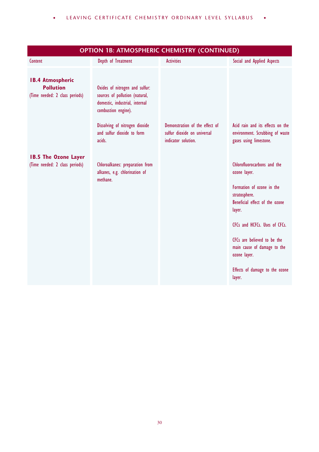| <b>OPTION 1B: ATMOSPHERIC CHEMISTRY (CONTINUED)</b>                           |                                                                                                                                                                                                     |                                                                                      |                                                                                                                                                                                                                                                                                                  |
|-------------------------------------------------------------------------------|-----------------------------------------------------------------------------------------------------------------------------------------------------------------------------------------------------|--------------------------------------------------------------------------------------|--------------------------------------------------------------------------------------------------------------------------------------------------------------------------------------------------------------------------------------------------------------------------------------------------|
| Content                                                                       | Depth of Treatment                                                                                                                                                                                  | <b>Activities</b>                                                                    | Social and Applied Aspects                                                                                                                                                                                                                                                                       |
| <b>IB.4 Atmospheric</b><br><b>Pollution</b><br>(Time needed: 2 class periods) | Oxides of nitrogen and sulfur:<br>sources of pollution (natural,<br>domestic, industrial, internal<br>combustion engine).<br>Dissolving of nitrogen dioxide<br>and sulfur dioxide to form<br>acids. | Demonstration of the effect of<br>sulfur dioxide on universal<br>indicator solution. | Acid rain and its effects on the<br>environment. Scrubbing of waste<br>gases using limestone.                                                                                                                                                                                                    |
| <b>IB.5 The Ozone Layer</b><br>(Time needed: 2 class periods)                 | Chloroalkanes: preparation from<br>alkanes, e.g. chlorination of<br>methane.                                                                                                                        |                                                                                      | Chlorofluorocarbons and the<br>ozone layer.<br>Formation of ozone in the<br>stratosphere.<br>Beneficial effect of the ozone<br>layer.<br>CFCs and HCFCs. Uses of CFCs.<br>CFCs are believed to be the<br>main cause of damage to the<br>ozone layer.<br>Effects of damage to the ozone<br>layer. |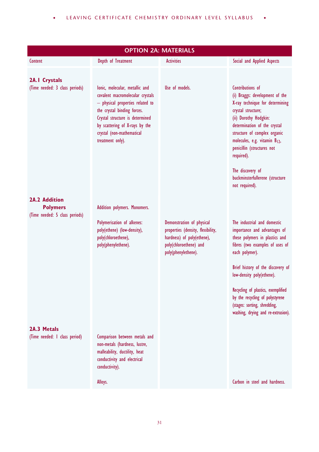<span id="page-34-0"></span>

|                                                                           |                                                                                                                                                                                                                                                             | <b>OPTION 2A: MATERIALS</b>                                                                                                                   |                                                                                                                                                                                                                                                                                                                                                                     |
|---------------------------------------------------------------------------|-------------------------------------------------------------------------------------------------------------------------------------------------------------------------------------------------------------------------------------------------------------|-----------------------------------------------------------------------------------------------------------------------------------------------|---------------------------------------------------------------------------------------------------------------------------------------------------------------------------------------------------------------------------------------------------------------------------------------------------------------------------------------------------------------------|
| Content                                                                   | Depth of Treatment                                                                                                                                                                                                                                          | <b>Activities</b>                                                                                                                             | Social and Applied Aspects                                                                                                                                                                                                                                                                                                                                          |
| 2A.I Crystals<br>(Time needed: 3 class periods)                           | lonic, molecular, metallic and<br>covalent macromolecular crystals<br>- physical properties related to<br>the crystal binding forces.<br>Crystal structure is determined<br>by scattering of X-rays by the<br>crystal (non-mathematical<br>treatment only). | Use of models.                                                                                                                                | Contributions of<br>(i) Braggs: development of the<br>X-ray technique for determining<br>crystal structure;<br>(ii) Dorothy Hodgkin:<br>determination of the crystal<br>structure of complex organic<br>molecules, e.g. vitamin $B_{12}$ ,<br>penicillin (structures not<br>required).<br>The discovery of<br>buckminsterfullerene (structure<br>not required).     |
| <b>2A.2 Addition</b><br><b>Polymers</b><br>(Time needed: 5 class periods) | Addition polymers. Monomers.<br>Polymerisation of alkenes:<br>poly(ethene) (low-density),<br>poly(chloroethene),<br>poly(phenylethene).                                                                                                                     | Demonstration of physical<br>properties (density, flexibility,<br>hardness) of poly(ethene),<br>poly(chloroethene) and<br>poly(phenylethene). | The industrial and domestic<br>importance and advantages of<br>these polymers in plastics and<br>fibres (two examples of uses of<br>each polymer).<br>Brief history of the discovery of<br>low-density poly(ethene).<br>Recycling of plastics, exemplified<br>by the recycling of polystyrene<br>(stages: sorting, shredding,<br>washing, drying and re-extrusion). |
| 2A.3 Metals<br>(Time needed: I class period)                              | Comparison between metals and<br>non-metals (hardness, lustre,<br>malleability, ductility, heat<br>conductivity and electrical<br>conductivity).<br>Alloys.                                                                                                 |                                                                                                                                               | Carbon in steel and hardness.                                                                                                                                                                                                                                                                                                                                       |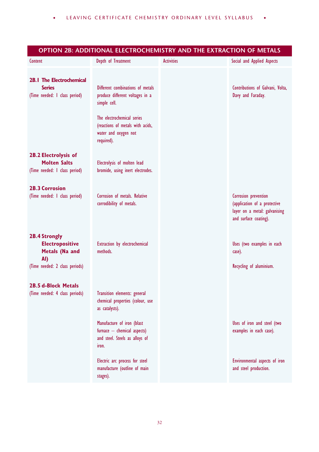<span id="page-35-0"></span>

|                                                                                                           |                                                                                                                                                         | <b>OPTION 2B: ADDITIONAL ELECTROCHEMISTRY AND THE EXTRACTION OF METALS</b> |                                                                                                                |
|-----------------------------------------------------------------------------------------------------------|---------------------------------------------------------------------------------------------------------------------------------------------------------|----------------------------------------------------------------------------|----------------------------------------------------------------------------------------------------------------|
| Content                                                                                                   | Depth of Treatment                                                                                                                                      | <b>Activities</b>                                                          | Social and Applied Aspects                                                                                     |
| <b>2B.I The Electrochemical</b><br><b>Series</b>                                                          | Different combinations of metals                                                                                                                        |                                                                            | Contributions of Galvani, Volta,                                                                               |
| (Time needed: I class period)                                                                             | produce different voltages in a<br>simple cell.<br>The electrochemical series<br>(reactions of metals with acids,<br>water and oxygen not<br>required). |                                                                            | Davy and Faraday.                                                                                              |
| <b>2B.2 Electrolysis of</b><br><b>Molten Salts</b><br>(Time needed: I class period)                       | Electrolysis of molten lead<br>bromide, using inert electrodes.                                                                                         |                                                                            |                                                                                                                |
| <b>2B.3 Corrosion</b><br>(Time needed: I class period)                                                    | Corrosion of metals. Relative<br>corrodibility of metals.                                                                                               |                                                                            | Corrosion prevention<br>(application of a protective<br>layer on a metal: galvanising<br>and surface coating). |
| <b>2B.4 Strongly</b><br><b>Electropositive</b><br>Metals (Na and<br>AI)<br>(Time needed: 2 class periods) | Extraction by electrochemical<br>methods.                                                                                                               |                                                                            | Uses (two examples in each<br>case).<br>Recycling of aluminium.                                                |
| <b>2B.5 d-Block Metals</b><br>(Time needed: 4 class periods)                                              | Transition elements: general<br>chemical properties (colour, use<br>as catalysts).                                                                      |                                                                            |                                                                                                                |
|                                                                                                           | Manufacture of iron (blast<br>$furnace - chemical aspects)$<br>and steel. Steels as alloys of<br>iron.                                                  |                                                                            | Uses of iron and steel (two<br>examples in each case).                                                         |
|                                                                                                           | Electric arc process for steel<br>manufacture (outline of main<br>stages).                                                                              |                                                                            | Environmental aspects of iron<br>and steel production.                                                         |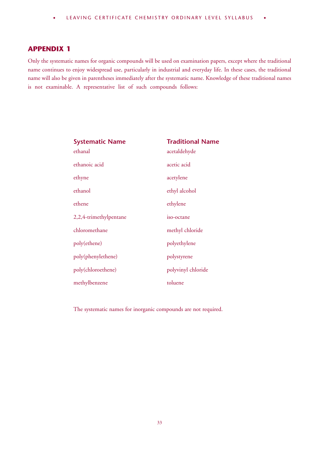# **APPENDIX 1**

Only the systematic names for organic compounds will be used on examination papers, except where the traditional name continues to enjoy widespread use, particularly in industrial and everyday life. In these cases, the traditional name will also be given in parentheses immediately after the systematic name. Knowledge of these traditional names is not examinable. A representative list of such compounds follows:

| <b>Systematic Name</b><br>ethanal | <b>Traditional Name</b><br>acetaldehyde |
|-----------------------------------|-----------------------------------------|
| ethanoic acid                     | acetic acid                             |
| ethyne                            | acetylene                               |
| ethanol                           | ethyl alcohol                           |
| ethene                            | ethylene                                |
| 2,2,4-trimethylpentane            | iso-octane                              |
| chloromethane                     | methyl chloride                         |
| poly(ethene)                      | polyethylene                            |
| poly(phenylethene)                | polystyrene                             |
| poly(chloroethene)                | polyvinyl chloride                      |
| methylbenzene                     | toluene                                 |
|                                   |                                         |

The systematic names for inorganic compounds are not required.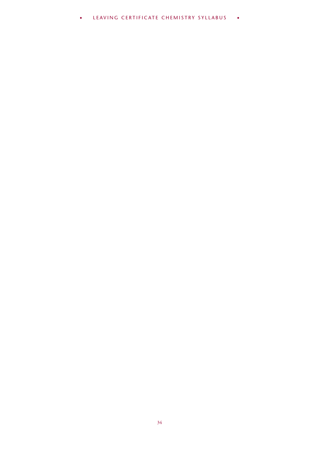#### • LEAVING CERTIFICATE CHEMISTRY SYLLABUS •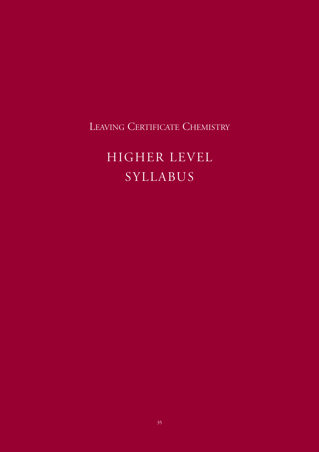LEAVING CERTIFICATE CHEMISTRY

# HIGHER LEVEL **SYLLABUS**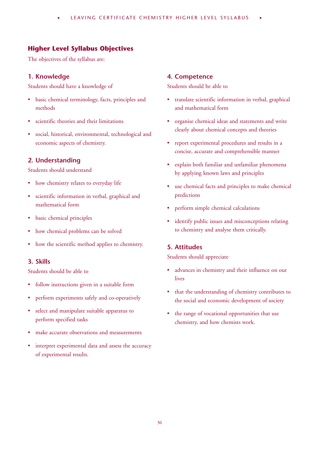# **Higher Level Syllabus Objectives**

The objectives of the syllabus are:

# **1. Knowledge**

Students should have a knowledge of

- basic chemical terminology, facts, principles and methods
- scientific theories and their limitations
- social, historical, environmental, technological and economic aspects of chemistry.

# **2. Understanding**

Students should understand

- how chemistry relates to everyday life
- scientific information in verbal, graphical and mathematical form
- basic chemical principles
- how chemical problems can be solved
- how the scientific method applies to chemistry.

# **3. Skills**

Students should be able to

- follow instructions given in a suitable form
- perform experiments safely and co-operatively
- select and manipulate suitable apparatus to perform specified tasks
- make accurate observations and measurements
- interpret experimental data and assess the accuracy of experimental results.

## **4. Competence**

Students should be able to

- translate scientific information in verbal, graphical and mathematical form
- organise chemical ideas and statements and write clearly about chemical concepts and theories
- report experimental procedures and results in a concise, accurate and comprehensible manner
- explain both familiar and unfamiliar phenomena by applying known laws and principles
- use chemical facts and principles to make chemical predictions
- perform simple chemical calculations
- identify public issues and misconceptions relating to chemistry and analyse them critically.

# **5. Attitudes**

Students should appreciate

- advances in chemistry and their influence on our lives
- that the understanding of chemistry contributes to the social and economic development of society
- the range of vocational opportunities that use chemistry, and how chemists work.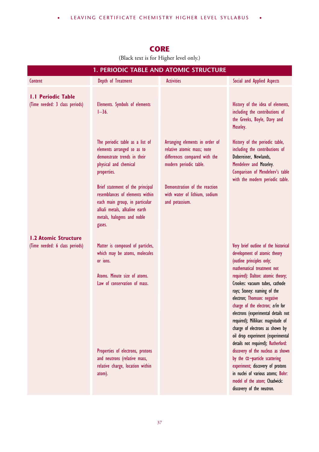|                                                               |                                                                                                                                                                                                                                                                                                                        | <b>1. PERIODIC TABLE AND ATOMIC STRUCTURE</b>                                                                                                                                                               |                                                                                                                                                                                                                                                                                                                                                                                                                                                                                                                                                                                                                                                                                                                        |
|---------------------------------------------------------------|------------------------------------------------------------------------------------------------------------------------------------------------------------------------------------------------------------------------------------------------------------------------------------------------------------------------|-------------------------------------------------------------------------------------------------------------------------------------------------------------------------------------------------------------|------------------------------------------------------------------------------------------------------------------------------------------------------------------------------------------------------------------------------------------------------------------------------------------------------------------------------------------------------------------------------------------------------------------------------------------------------------------------------------------------------------------------------------------------------------------------------------------------------------------------------------------------------------------------------------------------------------------------|
| Content                                                       | Depth of Treatment                                                                                                                                                                                                                                                                                                     | <b>Activities</b>                                                                                                                                                                                           | Social and Applied Aspects                                                                                                                                                                                                                                                                                                                                                                                                                                                                                                                                                                                                                                                                                             |
| <b>I.I Periodic Table</b><br>(Time needed: 3 class periods)   | Elements. Symbols of elements<br>$1 - 36.$                                                                                                                                                                                                                                                                             |                                                                                                                                                                                                             | History of the idea of elements,<br>including the contributions of<br>the Greeks, Boyle, Davy and<br>Moseley.                                                                                                                                                                                                                                                                                                                                                                                                                                                                                                                                                                                                          |
|                                                               | The periodic table as a list of<br>elements arranged so as to<br>demonstrate trends in their<br>physical and chemical<br>properties.<br>Brief statement of the principal<br>resemblances of elements within<br>each main group, in particular<br>alkali metals, alkaline earth<br>metals, halogens and noble<br>gases. | Arranging elements in order of<br>relative atomic mass; note<br>differences compared with the<br>modern periodic table.<br>Demonstration of the reaction<br>with water of lithium, sodium<br>and potassium. | History of the periodic table,<br>including the contributions of<br>Dobereiner, Newlands,<br>Mendeleev and Moseley.<br>Comparison of Mendeleev's table<br>with the modern periodic table.                                                                                                                                                                                                                                                                                                                                                                                                                                                                                                                              |
| <b>1.2 Atomic Structure</b><br>(Time needed: 6 class periods) | Matter is composed of particles,<br>which may be atoms, molecules<br>or ions.<br>Atoms. Minute size of atoms.<br>Law of conservation of mass.<br>Properties of electrons, protons<br>and neutrons (relative mass,<br>relative charge, location within<br>atom).                                                        |                                                                                                                                                                                                             | Very brief outline of the historical<br>development of atomic theory<br>(outline principles only;<br>mathematical treatment not<br>required): Dalton: atomic theory;<br>Crookes: vacuum tubes, cathode<br>rays; Stoney: naming of the<br>electron; Thomson: negative<br>charge of the electron; $e/m$ for<br>electrons (experimental details not<br>required); Millikan: magnitude of<br>charge of electrons as shown by<br>oil drop experiment (experimental<br>details not required); Rutherford:<br>discovery of the nucleus as shown<br>by the $\alpha$ -particle scattering<br>experiment; discovery of protons<br>in nuclei of various atoms; Bohr:<br>model of the atom; Chadwick:<br>discovery of the neutron. |

# **CORE**

(Black text is for Higher level only.)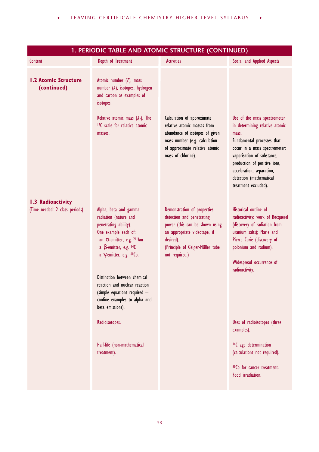|                                                     |                                                                                                                                                                                                                                                                                                                                                                                                                                               | 1. PERIODIC TABLE AND ATOMIC STRUCTURE (CONTINUED)                                                                                                                                              |                                                                                                                                                                                                                                                                                                                                                                                                               |
|-----------------------------------------------------|-----------------------------------------------------------------------------------------------------------------------------------------------------------------------------------------------------------------------------------------------------------------------------------------------------------------------------------------------------------------------------------------------------------------------------------------------|-------------------------------------------------------------------------------------------------------------------------------------------------------------------------------------------------|---------------------------------------------------------------------------------------------------------------------------------------------------------------------------------------------------------------------------------------------------------------------------------------------------------------------------------------------------------------------------------------------------------------|
| Content                                             | Depth of Treatment                                                                                                                                                                                                                                                                                                                                                                                                                            | <b>Activities</b>                                                                                                                                                                               | Social and Applied Aspects                                                                                                                                                                                                                                                                                                                                                                                    |
| <b>1.2 Atomic Structure</b><br>(continued)          | Atomic number (Z), mass<br>number (A), isotopes; hydrogen<br>and carbon as examples of<br>isotopes.                                                                                                                                                                                                                                                                                                                                           |                                                                                                                                                                                                 |                                                                                                                                                                                                                                                                                                                                                                                                               |
|                                                     | Relative atomic mass $(A_r)$ . The<br><sup>12</sup> C scale for relative atomic<br>masses.                                                                                                                                                                                                                                                                                                                                                    | Calculation of approximate<br>relative atomic masses from<br>abundance of isotopes of given<br>mass number (e.g. calculation<br>of approximate relative atomic<br>mass of chlorine).            | Use of the mass spectrometer<br>in determining relative atomic<br>mass.<br>Fundamental processes that<br>occur in a mass spectrometer:<br>vaporisation of substance,<br>production of positive ions,<br>acceleration, separation,<br>detection (mathematical<br>treatment excluded).                                                                                                                          |
| 1.3 Radioactivity<br>(Time needed: 2 class periods) | Alpha, beta and gamma<br>radiation (nature and<br>penetrating ability).<br>One example each of:<br>an $\alpha$ -emitter, e.g. <sup>241</sup> Am<br>a $\beta$ -emitter, e.g. 14C<br>a $\gamma$ -emitter, e.g. $60C$ o.<br>Distinction between chemical<br>reaction and nuclear reaction<br>(simple equations required $-$<br>confine examples to alpha and<br>beta emissions).<br>Radioisotopes.<br>Half-life (non-mathematical<br>treatment). | Demonstration of properties -<br>detection and penetrating<br>power (this can be shown using<br>an appropriate videotape, if<br>desired).<br>(Principle of Geiger-Müller tube<br>not required.) | Historical outline of<br>radioactivity: work of Becquerel<br>(discovery of radiation from<br>uranium salts); Marie and<br>Pierre Curie (discovery of<br>polonium and radium).<br>Widespread occurrence of<br>radioactivity.<br>Uses of radioisotopes (three<br>examples).<br><sup>14</sup> C age determination<br>(calculations not required).<br><sup>60</sup> Co for cancer treatment.<br>Food irradiation. |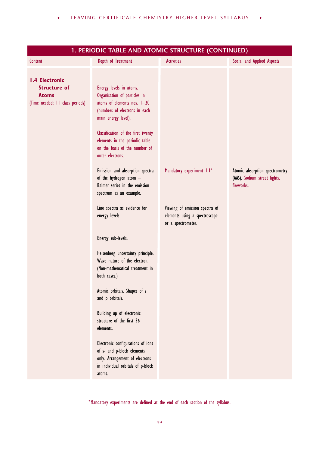|                                                                                                 |                                                                                                                                                                                                                                                                                                                                                                                                                                                                                                                                                                                                                                                                                                                                                                                                                                                                                     | 1. PERIODIC TABLE AND ATOMIC STRUCTURE (CONTINUED)                                                                 |                                                                              |
|-------------------------------------------------------------------------------------------------|-------------------------------------------------------------------------------------------------------------------------------------------------------------------------------------------------------------------------------------------------------------------------------------------------------------------------------------------------------------------------------------------------------------------------------------------------------------------------------------------------------------------------------------------------------------------------------------------------------------------------------------------------------------------------------------------------------------------------------------------------------------------------------------------------------------------------------------------------------------------------------------|--------------------------------------------------------------------------------------------------------------------|------------------------------------------------------------------------------|
| Content                                                                                         | Depth of Treatment                                                                                                                                                                                                                                                                                                                                                                                                                                                                                                                                                                                                                                                                                                                                                                                                                                                                  | <b>Activities</b>                                                                                                  | Social and Applied Aspects                                                   |
| <b>1.4 Electronic</b><br><b>Structure of</b><br><b>Atoms</b><br>(Time needed: 11 class periods) | Energy levels in atoms.<br>Organisation of particles in<br>atoms of elements nos. 1-20<br>(numbers of electrons in each<br>main energy level).<br>Classification of the first twenty<br>elements in the periodic table<br>on the basis of the number of<br>outer electrons.<br>Emission and absorption spectra<br>of the hydrogen atom $-$<br>Balmer series in the emission<br>spectrum as an example.<br>Line spectra as evidence for<br>energy levels.<br>Energy sub-levels.<br>Heisenberg uncertainty principle.<br>Wave nature of the electron.<br>(Non-mathematical treatment in<br>both cases.)<br>Atomic orbitals. Shapes of s<br>and p orbitals.<br>Building up of electronic<br>structure of the first 36<br>elements.<br>Electronic configurations of ions<br>of s- and p-block elements<br>only. Arrangement of electrons<br>in individual orbitals of p-block<br>atoms. | Mandatory experiment 1.1*<br>Viewing of emission spectra of<br>elements using a spectroscope<br>or a spectrometer. | Atomic absorption spectrometry<br>(AAS). Sodium street lights,<br>fireworks. |

\*Mandatory experiments are defined at the end of each section of the syllabus.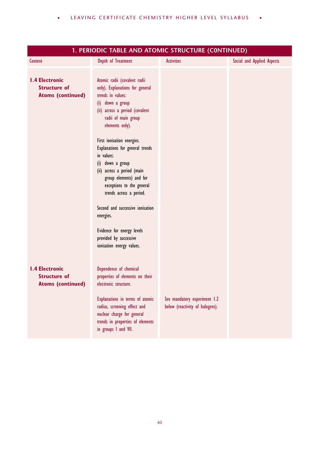|                                                                          |                                                                                                                                                                                                                                                 | 1. PERIODIC TABLE AND ATOMIC STRUCTURE (CONTINUED)              |                            |
|--------------------------------------------------------------------------|-------------------------------------------------------------------------------------------------------------------------------------------------------------------------------------------------------------------------------------------------|-----------------------------------------------------------------|----------------------------|
| Content                                                                  | Depth of Treatment                                                                                                                                                                                                                              | <b>Activities</b>                                               | Social and Applied Aspects |
| <b>1.4 Electronic</b><br><b>Structure of</b><br><b>Atoms (continued)</b> | Atomic radii (covalent radii<br>only). Explanations for general<br>trends in values:<br>down a group<br>$\left( 1\right)$<br>across a period (covalent<br>(ii)<br>radii of main group<br>elements only).                                        |                                                                 |                            |
|                                                                          | First ionisation energies.<br>Explanations for general trends<br>in values:<br>down a group<br>(i)<br>(ii) across a period (main<br>group elements) and for<br>exceptions to the general<br>trends across a period.                             |                                                                 |                            |
|                                                                          | Second and successive ionisation<br>energies.<br>Evidence for energy levels<br>provided by successive<br>ionisation energy values.                                                                                                              |                                                                 |                            |
| <b>1.4 Electronic</b><br><b>Structure of</b><br><b>Atoms (continued)</b> | Dependence of chemical<br>properties of elements on their<br>electronic structure.<br>Explanations in terms of atomic<br>radius, screening effect and<br>nuclear charge for general<br>trends in properties of elements<br>in groups I and VII. | See mandatory experiment 1.2<br>below (reactivity of halogens). |                            |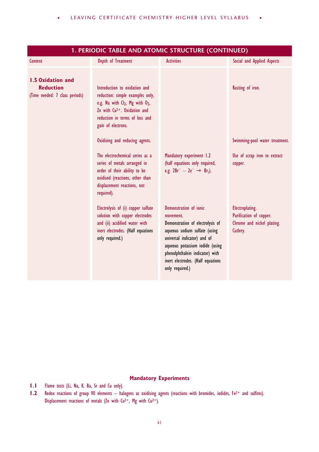| 1. PERIODIC TABLE AND ATOMIC STRUCTURE (CONTINUED)                      |                                                                                                                                                                                                                                                                                                                                                                                                                           |                                                                                                                                                                                                                                                                       |                                                                                               |
|-------------------------------------------------------------------------|---------------------------------------------------------------------------------------------------------------------------------------------------------------------------------------------------------------------------------------------------------------------------------------------------------------------------------------------------------------------------------------------------------------------------|-----------------------------------------------------------------------------------------------------------------------------------------------------------------------------------------------------------------------------------------------------------------------|-----------------------------------------------------------------------------------------------|
| Content                                                                 | Depth of Treatment                                                                                                                                                                                                                                                                                                                                                                                                        | <b>Activities</b>                                                                                                                                                                                                                                                     | Social and Applied Aspects                                                                    |
| 1.5 Oxidation and<br><b>Reduction</b><br>(Time needed: 7 class periods) | Introduction to oxidation and<br>reduction: simple examples only,<br>e.g. Na with $Cl_2$ , Mg with $O_2$ ,<br>Zn with $Cu2+$ . Oxidation and<br>reduction in terms of loss and<br>gain of electrons.<br>Oxidising and reducing agents.<br>The electrochemical series as a<br>series of metals arranged in<br>order of their ability to be<br>oxidised (reactions, other than<br>displacement reactions, not<br>required). | Mandatory experiment 1.2<br>(half equations only required,<br>e.g. $2Br^- - 2e^- \rightarrow Br_2$ ).                                                                                                                                                                 | Rusting of iron.<br>Swimming-pool water treatment.<br>Use of scrap iron to extract<br>copper. |
|                                                                         | Electrolysis of (i) copper sulfate<br>solution with copper electrodes<br>and (ii) acidified water with<br>inert electrodes. (Half equations<br>only required.)                                                                                                                                                                                                                                                            | Demonstration of ionic<br>movement.<br>Demonstration of electrolysis of<br>aqueous sodium sulfate (using<br>universal indicator) and of<br>aqueous potassium iodide (using<br>phenolphthalein indicator) with<br>inert electrodes. (Half equations<br>only required.) | Electroplating.<br>Purification of copper.<br>Chrome and nickel plating.<br>Cutlery.          |

- **1.1** Flame tests (Li, Na, K, Ba, Sr and Cu only).
- 1.2 Redox reactions of group VII elements halogens as oxidising agents (reactions with bromides, iodides, Fe<sup>2+</sup> and sulfites). Displacement reactions of metals (Zn with Cu<sup>2+</sup>, Mg with Cu<sup>2+</sup>).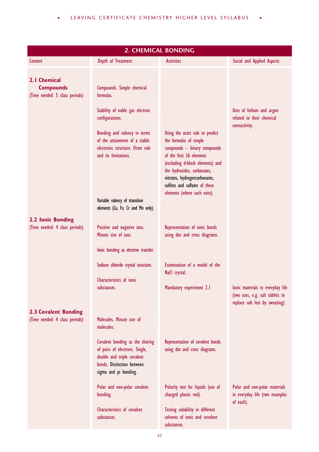| <b>2. CHEMICAL BONDING</b>                                         |                                                                                                                                                                                                                                                         |                                                                                                                                                                                                                                                                                             |                                                                                                        |
|--------------------------------------------------------------------|---------------------------------------------------------------------------------------------------------------------------------------------------------------------------------------------------------------------------------------------------------|---------------------------------------------------------------------------------------------------------------------------------------------------------------------------------------------------------------------------------------------------------------------------------------------|--------------------------------------------------------------------------------------------------------|
| Content                                                            | Depth of Treatment                                                                                                                                                                                                                                      | <b>Activities</b>                                                                                                                                                                                                                                                                           | Social and Applied Aspects                                                                             |
| 2.1 Chemical<br><b>Compounds</b><br>(Time needed: 5 class periods) | Compounds. Simple chemical<br>formulas.                                                                                                                                                                                                                 |                                                                                                                                                                                                                                                                                             |                                                                                                        |
|                                                                    | Stability of noble gas electron<br>configurations.<br>Bonding and valency in terms<br>of the attainment of a stable<br>electronic structure. Octet rule<br>and its limitations.<br>Variable valency of transition<br>elements (Cu, Fe, Cr and Mn only). | Using the octet rule to predict<br>the formulas of simple<br>compounds - binary compounds<br>of the first 36 elements<br>(excluding d-block elements) and<br>the hydroxides, carbonates,<br>nitrates, hydrogencarbonates,<br>sulfites and sulfates of these<br>elements (where such exist). | Uses of helium and argon<br>related to their chemical<br>unreactivity.                                 |
| 2.2 Ionic Bonding                                                  |                                                                                                                                                                                                                                                         |                                                                                                                                                                                                                                                                                             |                                                                                                        |
| (Time needed: 4 class periods)                                     | Positive and negative ions.<br>Minute size of ions.<br>lonic bonding as electron transfer.                                                                                                                                                              | Representation of ionic bonds<br>using dot and cross diagrams.                                                                                                                                                                                                                              |                                                                                                        |
|                                                                    | Sodium chloride crystal structure.                                                                                                                                                                                                                      | Examination of a model of the<br>NaCl crystal.                                                                                                                                                                                                                                              |                                                                                                        |
|                                                                    | Characteristics of ionic<br>substances.                                                                                                                                                                                                                 | Mandatory experiment 2.1                                                                                                                                                                                                                                                                    | lonic materials in everyday life<br>(two uses, e.g. salt tablets to<br>replace salt lost by sweating). |
| <b>2.3 Covalent Bonding</b><br>(Time needed: 4 class periods)      | Molecules. Minute size of<br>molecules.                                                                                                                                                                                                                 |                                                                                                                                                                                                                                                                                             |                                                                                                        |
|                                                                    | Covalent bonding as the sharing<br>of pairs of electrons. Single,<br>double and triple covalent<br>bonds. Distinction between<br>sigma and pi bonding.                                                                                                  | Representation of covalent bonds<br>using dot and cross diagrams.                                                                                                                                                                                                                           |                                                                                                        |
|                                                                    | Polar and non-polar covalent<br>bonding.                                                                                                                                                                                                                | Polarity test for liquids (use of<br>charged plastic rod).                                                                                                                                                                                                                                  | Polar and non-polar materials<br>in everyday life (two examples<br>of each).                           |
|                                                                    | Characteristics of covalent<br>substances.                                                                                                                                                                                                              | Testing solubility in different<br>solvents of ionic and covalent<br>substances.                                                                                                                                                                                                            |                                                                                                        |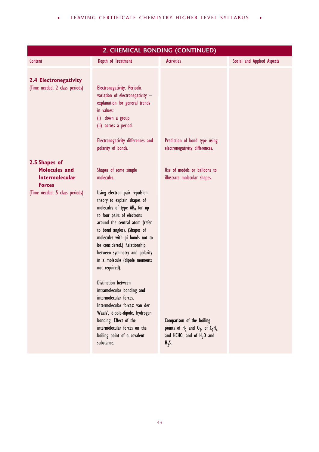| 2. CHEMICAL BONDING (CONTINUED)                                                                                   |                                                                                                                                                                                                                                                                                                                                                                                                                                                                                                                                                                                                                                                                        |                                                                                                                                                                                                                                  |                            |
|-------------------------------------------------------------------------------------------------------------------|------------------------------------------------------------------------------------------------------------------------------------------------------------------------------------------------------------------------------------------------------------------------------------------------------------------------------------------------------------------------------------------------------------------------------------------------------------------------------------------------------------------------------------------------------------------------------------------------------------------------------------------------------------------------|----------------------------------------------------------------------------------------------------------------------------------------------------------------------------------------------------------------------------------|----------------------------|
| Content                                                                                                           | Depth of Treatment                                                                                                                                                                                                                                                                                                                                                                                                                                                                                                                                                                                                                                                     | <b>Activities</b>                                                                                                                                                                                                                | Social and Applied Aspects |
| 2.4 Electronegativity<br>(Time needed: 2 class periods)                                                           | <b>Electronegativity. Periodic</b><br>variation of electronegativity -<br>explanation for general trends<br>in values:<br>down a group<br>(i)<br>(ii) across a period.<br>Electronegativity differences and<br>polarity of bonds.                                                                                                                                                                                                                                                                                                                                                                                                                                      | Prediction of bond type using<br>electronegativity differences.                                                                                                                                                                  |                            |
| 2.5 Shapes of<br><b>Molecules and</b><br><b>Intermolecular</b><br><b>Forces</b><br>(Time needed: 5 class periods) | Shapes of some simple<br>molecules.<br>Using electron pair repulsion<br>theory to explain shapes of<br>molecules of type AB <sub>n</sub> for up<br>to four pairs of electrons<br>around the central atom (refer<br>to bond angles). (Shapes of<br>molecules with pi bonds not to<br>be considered.) Relationship<br>between symmetry and polarity<br>in a molecule (dipole moments<br>not required).<br><b>Distinction between</b><br>intramolecular bonding and<br>intermolecular forces.<br>Intermolecular forces: van der<br>Waals', dipole-dipole, hydrogen<br>bonding. Effect of the<br>intermolecular forces on the<br>boiling point of a covalent<br>substance. | Use of models or balloons to<br>illustrate molecular shapes.<br>Comparison of the boiling<br>points of H <sub>2</sub> and O <sub>2</sub> , of C <sub>2</sub> H <sub>4</sub><br>and HCHO, and of H <sub>2</sub> O and<br>$H_2S$ . |                            |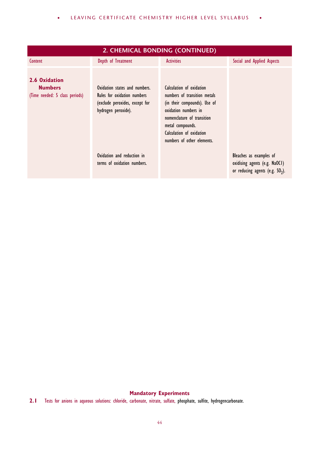| 2. CHEMICAL BONDING (CONTINUED)                                   |                                                                                                                       |                                                                                                                                                                                                                              |                                                                                                         |  |
|-------------------------------------------------------------------|-----------------------------------------------------------------------------------------------------------------------|------------------------------------------------------------------------------------------------------------------------------------------------------------------------------------------------------------------------------|---------------------------------------------------------------------------------------------------------|--|
| Content                                                           | Depth of Treatment                                                                                                    | <b>Activities</b>                                                                                                                                                                                                            | Social and Applied Aspects                                                                              |  |
| 2.6 Oxidation<br><b>Numbers</b><br>(Time needed: 5 class periods) | Oxidation states and numbers.<br>Rules for oxidation numbers<br>(exclude peroxides, except for<br>hydrogen peroxide). | Calculation of oxidation<br>numbers of transition metals<br>(in their compounds). Use of<br>oxidation numbers in<br>nomenclature of transition<br>metal compounds.<br>Calculation of oxidation<br>numbers of other elements. |                                                                                                         |  |
|                                                                   | Oxidation and reduction in<br>terms of oxidation numbers.                                                             |                                                                                                                                                                                                                              | Bleaches as examples of<br>oxidising agents (e.g. NaOCI)<br>or reducing agents (e.g. SO <sub>2</sub> ). |  |

**2.1** Tests for anions in aqueous solutions: chloride, carbonate, nitrate, sulfate, phosphate, sulfite, hydrogencarbonate.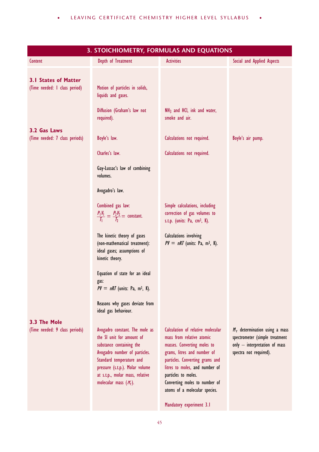|                                                              |                                                                                                                                                                                                                                                                                                                                                                         | <b>3. STOICHIOMETRY, FORMULAS AND EQUATIONS</b>                                                                                                                                                                                                                                                                        |                                                                                                                               |
|--------------------------------------------------------------|-------------------------------------------------------------------------------------------------------------------------------------------------------------------------------------------------------------------------------------------------------------------------------------------------------------------------------------------------------------------------|------------------------------------------------------------------------------------------------------------------------------------------------------------------------------------------------------------------------------------------------------------------------------------------------------------------------|-------------------------------------------------------------------------------------------------------------------------------|
| Content                                                      | Depth of Treatment                                                                                                                                                                                                                                                                                                                                                      | <b>Activities</b>                                                                                                                                                                                                                                                                                                      | Social and Applied Aspects                                                                                                    |
| <b>3.1 States of Matter</b><br>(Time needed: I class period) | Motion of particles in solids,<br>liquids and gases.<br>Diffusion (Graham's law not<br>required).                                                                                                                                                                                                                                                                       | NH <sub>3</sub> and HCl, ink and water,<br>smoke and air.                                                                                                                                                                                                                                                              |                                                                                                                               |
| 3.2 Gas Laws<br>(Time needed: 7 class periods)               | Boyle's law.<br>Charles's law.<br>Gay-Lussac's law of combining<br>volumes.                                                                                                                                                                                                                                                                                             | Calculations not required.<br>Calculations not required.                                                                                                                                                                                                                                                               | Boyle's air pump.                                                                                                             |
|                                                              | Avogadro's law.<br>Combined gas law:<br>$\frac{P_1V_1}{T_1} = \frac{P_2V_2}{T_2} = \text{constant}.$<br>The kinetic theory of gases<br>(non-mathematical treatment):<br>ideal gases; assumptions of<br>kinetic theory.<br>Equation of state for an ideal                                                                                                                | Simple calculations, including<br>correction of gas volumes to<br>s.t.p. (units: Pa, cm <sup>3</sup> , K).<br>Calculations involving<br>$PV = nRT$ (units: Pa, m <sup>3</sup> , K).                                                                                                                                    |                                                                                                                               |
| 3.3 The Mole<br>(Time needed: 9 class periods)               | gas:<br>$PV = nRT$ (units: Pa, m <sup>3</sup> , K).<br>Reasons why gases deviate from<br>ideal gas behaviour.<br>Avogadro constant. The mole as<br>the SI unit for amount of<br>substance containing the<br>Avogadro number of particles.<br>Standard temperature and<br>pressure (s.t.p.). Molar volume<br>at s.t.p., molar mass, relative<br>molecular mass $(M_r)$ . | Calculation of relative molecular<br>mass from relative atomic<br>masses. Converting moles to<br>grams, litres and number of<br>particles. Converting grams and<br>litres to moles, and number of<br>particles to moles.<br>Converting moles to number of<br>atoms of a molecular species.<br>Mandatory experiment 3.1 | $M_r$ determination using a mass<br>spectrometer (simple treatment<br>only - interpretation of mass<br>spectra not required). |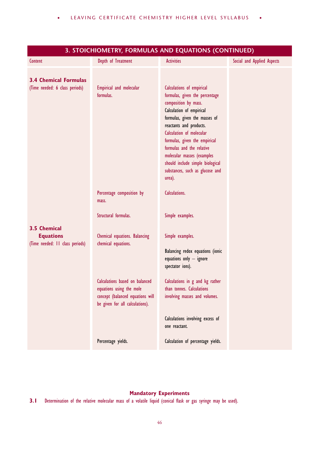|                                                                |                                                                                                                                   | 3. STOICHIOMETRY, FORMULAS AND EQUATIONS (CONTINUED)                                                                                                                                                                                                                                                                                                                                 |                            |
|----------------------------------------------------------------|-----------------------------------------------------------------------------------------------------------------------------------|--------------------------------------------------------------------------------------------------------------------------------------------------------------------------------------------------------------------------------------------------------------------------------------------------------------------------------------------------------------------------------------|----------------------------|
| Content                                                        | Depth of Treatment                                                                                                                | <b>Activities</b>                                                                                                                                                                                                                                                                                                                                                                    | Social and Applied Aspects |
| <b>3.4 Chemical Formulas</b><br>(Time needed: 6 class periods) | Empirical and molecular<br>formulas.                                                                                              | Calculations of empirical<br>formulas, given the percentage<br>composition by mass.<br>Calculation of empirical<br>formulas, given the masses of<br>reactants and products.<br>Calculation of molecular<br>formulas, given the empirical<br>formulas and the relative<br>molecular masses (examples<br>should include simple biological<br>substances, such as glucose and<br>urea). |                            |
|                                                                | Percentage composition by<br>mass.                                                                                                | <b>Calculations.</b>                                                                                                                                                                                                                                                                                                                                                                 |                            |
| 3.5 Chemical                                                   | Structural formulas.                                                                                                              | Simple examples.                                                                                                                                                                                                                                                                                                                                                                     |                            |
| <b>Equations</b><br>(Time needed: 11 class periods)            | Chemical equations. Balancing<br>chemical equations.                                                                              | Simple examples.<br>Balancing redox equations (ionic<br>equations only $-$ ignore<br>spectator ions).                                                                                                                                                                                                                                                                                |                            |
|                                                                | Calculations based on balanced<br>equations using the mole<br>concept (balanced equations will<br>be given for all calculations). | Calculations in g and kg rather<br>than tonnes. Calculations<br>involving masses and volumes.                                                                                                                                                                                                                                                                                        |                            |
|                                                                |                                                                                                                                   | Calculations involving excess of<br>one reactant.                                                                                                                                                                                                                                                                                                                                    |                            |
|                                                                | Percentage yields.                                                                                                                | Calculation of percentage yields.                                                                                                                                                                                                                                                                                                                                                    |                            |

**3.1** Determination of the relative molecular mass of a volatile liquid (conical flask or gas syringe may be used).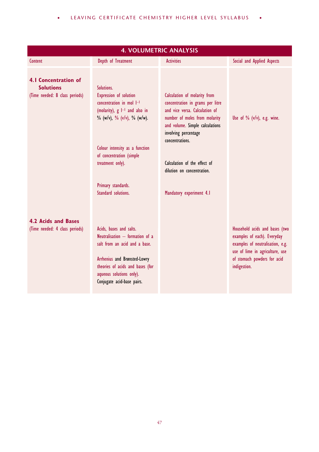|                                                                                   |                                                                                                                                                                                                                                                                                | <b>4. VOLUMETRIC ANALYSIS</b>                                                                                                                                                                                                                                                                               |                                                                                                                                                                                     |
|-----------------------------------------------------------------------------------|--------------------------------------------------------------------------------------------------------------------------------------------------------------------------------------------------------------------------------------------------------------------------------|-------------------------------------------------------------------------------------------------------------------------------------------------------------------------------------------------------------------------------------------------------------------------------------------------------------|-------------------------------------------------------------------------------------------------------------------------------------------------------------------------------------|
| Content                                                                           | Depth of Treatment                                                                                                                                                                                                                                                             | <b>Activities</b>                                                                                                                                                                                                                                                                                           | Social and Applied Aspects                                                                                                                                                          |
| <b>4.1 Concentration of</b><br><b>Solutions</b><br>(Time needed: 8 class periods) | Solutions.<br>Expression of solution<br>concentration in mol $ -1$<br>(molarity), $g \vdash$ and also in<br>$\%$ (w/v), $\%$ (v/v), $\%$ (w/w).<br>Colour intensity as a function<br>of concentration (simple<br>treatment only).<br>Primary standards.<br>Standard solutions. | Calculation of molarity from<br>concentration in grams per litre<br>and vice versa. Calculation of<br>number of moles from molarity<br>and volume. Simple calculations<br>involving percentage<br>concentrations.<br>Calculation of the effect of<br>dilution on concentration.<br>Mandatory experiment 4.1 | Use of % (v/v), e.g. wine.                                                                                                                                                          |
| <b>4.2 Acids and Bases</b><br>(Time needed: 4 class periods)                      | Acids, bases and salts.<br>Neutralisation - formation of a<br>salt from an acid and a base.<br>Arrhenius and Brønsted-Lowry<br>theories of acids and bases (for<br>aqueous solutions only).<br>Conjugate acid-base pairs.                                                      |                                                                                                                                                                                                                                                                                                             | Household acids and bases (two<br>examples of each). Everyday<br>examples of neutralisation, e.g.<br>use of lime in agriculture, use<br>of stomach powders for acid<br>indigestion. |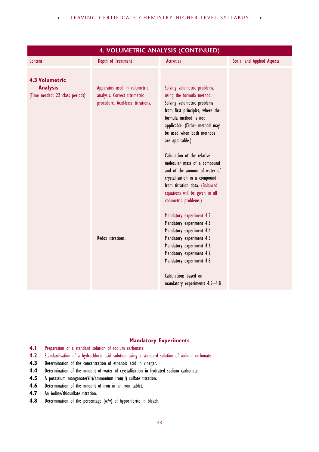| 4. VOLUMETRIC ANALYSIS (CONTINUED)                                          |                                                                                                   |                                                                                                                                                                                                                                                                                                                                                                                                                                                                        |                            |  |
|-----------------------------------------------------------------------------|---------------------------------------------------------------------------------------------------|------------------------------------------------------------------------------------------------------------------------------------------------------------------------------------------------------------------------------------------------------------------------------------------------------------------------------------------------------------------------------------------------------------------------------------------------------------------------|----------------------------|--|
| Content                                                                     | Depth of Treatment                                                                                | <b>Activities</b>                                                                                                                                                                                                                                                                                                                                                                                                                                                      | Social and Applied Aspects |  |
| <b>4.3 Volumetric</b><br><b>Analysis</b><br>(Time needed: 22 class periods) | Apparatus used in volumetric<br>analysis. Correct titrimetric<br>procedure. Acid-base titrations. | Solving volumetric problems,<br>using the formula method.<br>Solving volumetric problems<br>from first principles, where the<br>formula method is not<br>applicable. (Either method may<br>be used when both methods<br>are applicable.)<br>Calculation of the relative<br>molecular mass of a compound<br>and of the amount of water of<br>crystallisation in a compound<br>from titration data. (Balanced<br>equations will be given in all<br>volumetric problems.) |                            |  |
|                                                                             | Redox titrations.                                                                                 | Mandatory experiment 4.2<br>Mandatory experiment 4.3<br>Mandatory experiment 4.4<br>Mandatory experiment 4.5<br>Mandatory experiment 4.6<br>Mandatory experiment 4.7<br>Mandatory experiment 4.8<br>Calculations based on<br>mandatory experiments 4.5-4.8                                                                                                                                                                                                             |                            |  |

- **4.1** Preparation of a standard solution of sodium carbonate.
- **4.2** Standardisation of a hydrochloric acid solution using a standard solution of sodium carbonate.
- **4.3** Determination of the concentration of ethanoic acid in vinegar.
- **4.4** Determination of the amount of water of crystallisation in hydrated sodium carbonate.
- **4.5** A potassium manganate(VII)/ammonium iron(II) sulfate titration.
- **4.6** Determination of the amount of iron in an iron tablet.
- **4.7** An iodine/thiosulfate titration.
- **4.8** Determination of the percentage (w/v) of hypochlorite in bleach.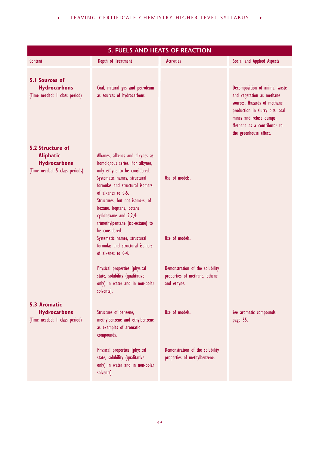| 5. FUELS AND HEATS OF REACTION                                                                       |                                                                                                                                                                                                                                                                                                                                                                                                                                      |                                                                                   |                                                                                                                                                                                                                  |
|------------------------------------------------------------------------------------------------------|--------------------------------------------------------------------------------------------------------------------------------------------------------------------------------------------------------------------------------------------------------------------------------------------------------------------------------------------------------------------------------------------------------------------------------------|-----------------------------------------------------------------------------------|------------------------------------------------------------------------------------------------------------------------------------------------------------------------------------------------------------------|
| Content                                                                                              | Depth of Treatment                                                                                                                                                                                                                                                                                                                                                                                                                   | <b>Activities</b>                                                                 | Social and Applied Aspects                                                                                                                                                                                       |
| <b>5.1 Sources of</b><br><b>Hydrocarbons</b><br>(Time needed: I class period)                        | Coal, natural gas and petroleum<br>as sources of hydrocarbons.                                                                                                                                                                                                                                                                                                                                                                       |                                                                                   | Decomposition of animal waste<br>and vegetation as methane<br>sources. Hazards of methane<br>production in slurry pits, coal<br>mines and refuse dumps.<br>Methane as a contributor to<br>the greenhouse effect. |
| <b>5.2 Structure of</b><br><b>Aliphatic</b><br><b>Hydrocarbons</b><br>(Time needed: 5 class periods) | Alkanes, alkenes and alkynes as<br>homologous series. For alkynes,<br>only ethyne to be considered.<br>Systematic names, structural<br>formulas and structural isomers<br>of alkanes to C-5.<br>Structures, but not isomers, of<br>hexane, heptane, octane,<br>cyclohexane and 2,2,4-<br>trimethylpentane (iso-octane) to<br>be considered.<br>Systematic names, structural<br>formulas and structural isomers<br>of alkenes to C-4. | Use of models.<br>Use of models.                                                  |                                                                                                                                                                                                                  |
|                                                                                                      | Physical properties [physical<br>state, solubility (qualitative<br>only) in water and in non-polar<br>solvents].                                                                                                                                                                                                                                                                                                                     | Demonstration of the solubility<br>properties of methane, ethene<br>and ethyne.   |                                                                                                                                                                                                                  |
| <b>5.3 Aromatic</b><br><b>Hydrocarbons</b><br>(Time needed: I class period)                          | Structure of benzene,<br>methylbenzene and ethylbenzene<br>as examples of aromatic<br>compounds.<br>Physical properties [physical<br>state, solubility (qualitative                                                                                                                                                                                                                                                                  | Use of models.<br>Demonstration of the solubility<br>properties of methylbenzene. | See aromatic compounds,<br>page 55.                                                                                                                                                                              |
|                                                                                                      | only) in water and in non-polar<br>solvents].                                                                                                                                                                                                                                                                                                                                                                                        |                                                                                   |                                                                                                                                                                                                                  |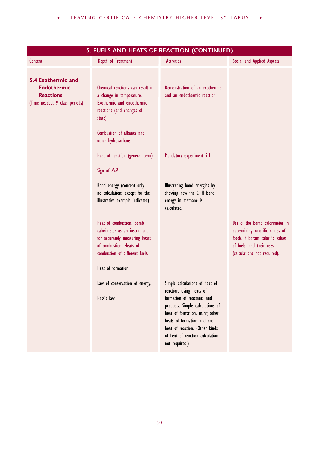|                                                                                                       |                                                                                                                                                                               | 5. FUELS AND HEATS OF REACTION (CONTINUED)                                                                                                                                                                                                                                          |                                                                                                                                                                   |
|-------------------------------------------------------------------------------------------------------|-------------------------------------------------------------------------------------------------------------------------------------------------------------------------------|-------------------------------------------------------------------------------------------------------------------------------------------------------------------------------------------------------------------------------------------------------------------------------------|-------------------------------------------------------------------------------------------------------------------------------------------------------------------|
| Content                                                                                               | Depth of Treatment                                                                                                                                                            | <b>Activities</b>                                                                                                                                                                                                                                                                   | Social and Applied Aspects                                                                                                                                        |
| <b>5.4 Exothermic and</b><br><b>Endothermic</b><br><b>Reactions</b><br>(Time needed: 9 class periods) | Chemical reactions can result in<br>a change in temperature.<br>Exothermic and endothermic<br>reactions (and changes of<br>state).                                            | Demonstration of an exothermic<br>and an endothermic reaction.                                                                                                                                                                                                                      |                                                                                                                                                                   |
|                                                                                                       | Combustion of alkanes and<br>other hydrocarbons.                                                                                                                              |                                                                                                                                                                                                                                                                                     |                                                                                                                                                                   |
|                                                                                                       | Heat of reaction (general term).                                                                                                                                              | Mandatory experiment 5.1                                                                                                                                                                                                                                                            |                                                                                                                                                                   |
|                                                                                                       | Sign of $\Delta H$ .                                                                                                                                                          |                                                                                                                                                                                                                                                                                     |                                                                                                                                                                   |
|                                                                                                       | Bond energy (concept only -<br>no calculations except for the<br>illustrative example indicated).                                                                             | Illustrating bond energies by<br>showing how the C-H bond<br>energy in methane is<br>calculated.                                                                                                                                                                                    |                                                                                                                                                                   |
|                                                                                                       | Heat of combustion. Bomb<br>calorimeter as an instrument<br>for accurately measuring heats<br>of combustion. Heats of<br>combustion of different fuels.<br>Heat of formation. |                                                                                                                                                                                                                                                                                     | Use of the bomb calorimeter in<br>determining calorific values of<br>foods. Kilogram calorific values<br>of fuels, and their uses<br>(calculations not required). |
|                                                                                                       | Law of conservation of energy.<br>Hess's law.                                                                                                                                 | Simple calculations of heat of<br>reaction, using heats of<br>formation of reactants and<br>products. Simple calculations of<br>heat of formation, using other<br>heats of formation and one<br>heat of reaction. (Other kinds<br>of heat of reaction calculation<br>not required.) |                                                                                                                                                                   |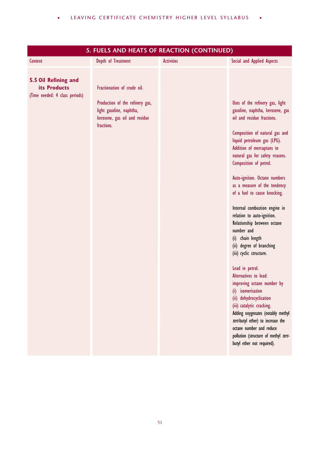| 5. FUELS AND HEATS OF REACTION (CONTINUED)                             |                                                                                                                                           |                   |                                                                                                                                                                                                                                                                                                                                                                                                                                                                                                                                                                                                                                                                                                                                                                                                                                                                                            |
|------------------------------------------------------------------------|-------------------------------------------------------------------------------------------------------------------------------------------|-------------------|--------------------------------------------------------------------------------------------------------------------------------------------------------------------------------------------------------------------------------------------------------------------------------------------------------------------------------------------------------------------------------------------------------------------------------------------------------------------------------------------------------------------------------------------------------------------------------------------------------------------------------------------------------------------------------------------------------------------------------------------------------------------------------------------------------------------------------------------------------------------------------------------|
| Content                                                                | Depth of Treatment                                                                                                                        | <b>Activities</b> | Social and Applied Aspects                                                                                                                                                                                                                                                                                                                                                                                                                                                                                                                                                                                                                                                                                                                                                                                                                                                                 |
| 5.5 Oil Refining and<br>its Products<br>(Time needed: 4 class periods) | Fractionation of crude oil.<br>Production of the refinery gas,<br>light gasoline, naphtha,<br>kerosene, gas oil and residue<br>fractions. |                   | Uses of the refinery gas, light<br>gasoline, naphtha, kerosene, gas<br>oil and residue fractions.<br>Composition of natural gas and<br>liquid petroleum gas (LPG).<br>Addition of mercaptans to<br>natural gas for safety reasons.<br>Composition of petrol.<br>Auto-ignition. Octane numbers<br>as a measure of the tendency<br>of a fuel to cause knocking.<br>Internal combustion engine in<br>relation to auto-ignition.<br>Relationship between octane<br>number and<br>(i) chain length<br>(ii) degree of branching<br>(iii) cyclic structure.<br>Lead in petrol.<br>Alternatives to lead:<br>improving octane number by<br>isomerisation<br>(i)<br>(ii) dehydrocyclisation<br>(iii) catalytic cracking.<br>Adding oxygenates (notably methyl<br>tert-butyl ether) to increase the<br>octane number and reduce<br>pollution (structure of methyl tert-<br>butyl ether not required). |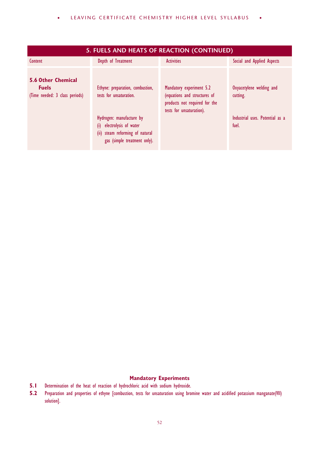| 5. FUELS AND HEATS OF REACTION (CONTINUED)                                  |                                                                                                                                                                                            |                                                                                                                       |                                                                                  |  |
|-----------------------------------------------------------------------------|--------------------------------------------------------------------------------------------------------------------------------------------------------------------------------------------|-----------------------------------------------------------------------------------------------------------------------|----------------------------------------------------------------------------------|--|
| Content                                                                     | Depth of Treatment                                                                                                                                                                         | <b>Activities</b>                                                                                                     | Social and Applied Aspects                                                       |  |
| <b>5.6 Other Chemical</b><br><b>Fuels</b><br>(Time needed: 3 class periods) | Ethyne: preparation, combustion,<br>tests for unsaturation.<br>Hydrogen: manufacture by<br>electrolysis of water<br>(i)<br>(ii) steam reforming of natural<br>gas (simple treatment only). | Mandatory experiment 5.2<br>(equations and structures of<br>products not required for the<br>tests for unsaturation). | Oxyacetylene welding and<br>cutting.<br>Industrial uses. Potential as a<br>fuel. |  |

- **5.1** Determination of the heat of reaction of hydrochloric acid with sodium hydroxide.
- **5.2** Preparation and properties of ethyne [combustion, tests for unsaturation using bromine water and acidified potassium manganate(VII) solution].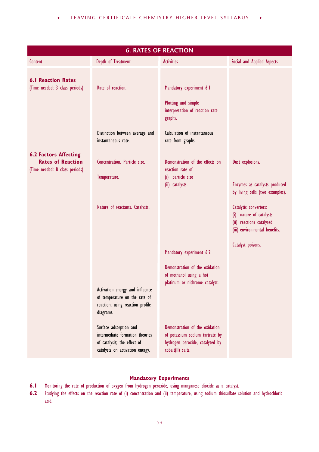| <b>6. RATES OF REACTION</b>                                                                |                                                                                                                             |                                                                                                                           |                                                                                                               |
|--------------------------------------------------------------------------------------------|-----------------------------------------------------------------------------------------------------------------------------|---------------------------------------------------------------------------------------------------------------------------|---------------------------------------------------------------------------------------------------------------|
| Content                                                                                    | Depth of Treatment                                                                                                          | <b>Activities</b>                                                                                                         | Social and Applied Aspects                                                                                    |
| <b>6.1 Reaction Rates</b><br>(Time needed: 3 class periods)                                | Rate of reaction.                                                                                                           | Mandatory experiment 6.1<br>Plotting and simple<br>interpretation of reaction rate<br>graphs.                             |                                                                                                               |
|                                                                                            | Distinction between average and<br>instantaneous rate.                                                                      | Calculation of instantaneous<br>rate from graphs.                                                                         |                                                                                                               |
| <b>6.2 Factors Affecting</b><br><b>Rates of Reaction</b><br>(Time needed: 8 class periods) | Concentration. Particle size.<br>Temperature.                                                                               | Demonstration of the effects on<br>reaction rate of<br>particle size<br>(1)<br>(ii) catalysts.                            | Dust explosions.<br>Enzymes as catalysts produced<br>by living cells (two examples).                          |
|                                                                                            | Nature of reactants. Catalysts.                                                                                             |                                                                                                                           | Catalytic converters:<br>(i) nature of catalysts<br>(ii) reactions catalysed<br>(iii) environmental benefits. |
|                                                                                            |                                                                                                                             | Mandatory experiment 6.2<br>Demonstration of the oxidation                                                                | Catalyst poisons.                                                                                             |
|                                                                                            | Activation energy and influence<br>of temperature on the rate of<br>reaction, using reaction profile<br>diagrams.           | of methanol using a hot<br>platinum or nichrome catalyst.                                                                 |                                                                                                               |
|                                                                                            | Surface adsorption and<br>intermediate formation theories<br>of catalysis; the effect of<br>catalysts on activation energy. | Demonstration of the oxidation<br>of potassium sodium tartrate by<br>hydrogen peroxide, catalysed by<br>cobalt(II) salts. |                                                                                                               |

- **6.1** Monitoring the rate of production of oxygen from hydrogen peroxide, using manganese dioxide as a catalyst.
- **6.2** Studying the effects on the reaction rate of (i) concentration and (ii) temperature, using sodium thiosulfate solution and hydrochloric acid.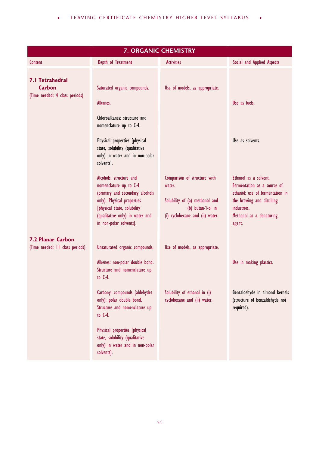| <b>7. ORGANIC CHEMISTRY</b>                                               |                                                                                                                                                                                                                 |                                                                                                                                  |                                                                                                                                                                            |
|---------------------------------------------------------------------------|-----------------------------------------------------------------------------------------------------------------------------------------------------------------------------------------------------------------|----------------------------------------------------------------------------------------------------------------------------------|----------------------------------------------------------------------------------------------------------------------------------------------------------------------------|
| Content                                                                   | Depth of Treatment                                                                                                                                                                                              | <b>Activities</b>                                                                                                                | Social and Applied Aspects                                                                                                                                                 |
| <b>7.1 Tetrahedral</b><br><b>Carbon</b><br>(Time needed: 4 class periods) | Saturated organic compounds.<br>Alkanes.<br>Chloroalkanes: structure and                                                                                                                                        | Use of models, as appropriate.                                                                                                   | Use as fuels.                                                                                                                                                              |
|                                                                           | nomenclature up to C-4.<br>Physical properties [physical<br>state, solubility (qualitative<br>only) in water and in non-polar<br>solvents].                                                                     |                                                                                                                                  | Use as solvents.                                                                                                                                                           |
|                                                                           | Alcohols: structure and<br>nomenclature up to C-4<br>(primary and secondary alcohols<br>only). Physical properties<br>[physical state, solubility<br>(qualitative only) in water and<br>in non-polar solvents]. | Comparison of structure with<br>water.<br>Solubility of (a) methanol and<br>(b) butan-1-ol in<br>(i) cyclohexane and (ii) water. | Ethanol as a solvent.<br>Fermentation as a source of<br>ethanol; use of fermentation in<br>the brewing and distilling<br>industries.<br>Methanol as a denaturing<br>agent. |
| <b>7.2 Planar Carbon</b><br>(Time needed: 11 class periods)               | Unsaturated organic compounds.<br>Alkenes: non-polar double bond.<br>Structure and nomenclature up<br>to $C-4$ .                                                                                                | Use of models, as appropriate.                                                                                                   | Use in making plastics.                                                                                                                                                    |
|                                                                           | Carbonyl compounds (aldehydes<br>only): polar double bond.<br>Structure and nomenclature up<br>to $C-4$ .<br>Physical properties [physical                                                                      | Solubility of ethanal in (i)<br>cyclohexane and (ii) water.                                                                      | Benzaldehyde in almond kernels<br>(structure of benzaldehyde not<br>required).                                                                                             |
|                                                                           | state, solubility (qualitative<br>only) in water and in non-polar<br>solvents].                                                                                                                                 |                                                                                                                                  |                                                                                                                                                                            |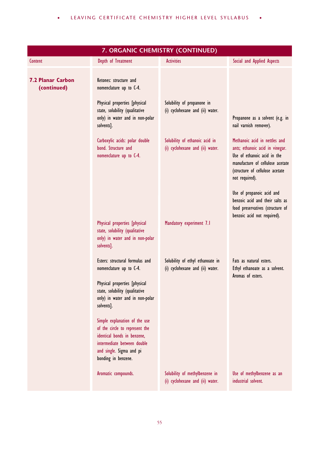|                                         |                                                                                                                                                                                                                                                                                                                                                                    | 7. ORGANIC CHEMISTRY (CONTINUED)                                                              |                                                                                                                                                                                                                                                                                                                             |
|-----------------------------------------|--------------------------------------------------------------------------------------------------------------------------------------------------------------------------------------------------------------------------------------------------------------------------------------------------------------------------------------------------------------------|-----------------------------------------------------------------------------------------------|-----------------------------------------------------------------------------------------------------------------------------------------------------------------------------------------------------------------------------------------------------------------------------------------------------------------------------|
| Content                                 | Depth of Treatment                                                                                                                                                                                                                                                                                                                                                 | <b>Activities</b>                                                                             | Social and Applied Aspects                                                                                                                                                                                                                                                                                                  |
| <b>7.2 Planar Carbon</b><br>(continued) | Ketones: structure and<br>nomenclature up to C-4.<br>Physical properties [physical<br>state, solubility (qualitative<br>only) in water and in non-polar<br>solvents].                                                                                                                                                                                              | Solubility of propanone in<br>(i) cyclohexane and (ii) water.                                 | Propanone as a solvent (e.g. in<br>nail varnish remover).                                                                                                                                                                                                                                                                   |
|                                         | Carboxylic acids: polar double<br>bond. Structure and<br>nomenclature up to C-4.<br>Physical properties [physical                                                                                                                                                                                                                                                  | Solubility of ethanoic acid in<br>(i) cyclohexane and (ii) water.<br>Mandatory experiment 7.1 | Methanoic acid in nettles and<br>ants; ethanoic acid in vinegar.<br>Use of ethanoic acid in the<br>manufacture of cellulose acetate<br>(structure of cellulose acetate<br>not required).<br>Use of propanoic acid and<br>benzoic acid and their salts as<br>food preservatives (structure of<br>benzoic acid not required). |
|                                         | state, solubility (qualitative<br>only) in water and in non-polar<br>solvents].                                                                                                                                                                                                                                                                                    |                                                                                               |                                                                                                                                                                                                                                                                                                                             |
|                                         | Esters: structural formulas and<br>nomenclature up to C-4.<br>Physical properties [physical<br>state, solubility (qualitative<br>only) in water and in non-polar<br>solvents].<br>Simple explanation of the use<br>of the circle to represent the<br>identical bonds in benzene,<br>intermediate between double<br>and single. Sigma and pi<br>bonding in benzene. | Solubility of ethyl ethanoate in<br>(i) cyclohexane and (ii) water.                           | Fats as natural esters.<br>Ethyl ethanoate as a solvent.<br>Aromas of esters.                                                                                                                                                                                                                                               |
|                                         | Aromatic compounds.                                                                                                                                                                                                                                                                                                                                                | Solubility of methylbenzene in<br>(i) cyclohexane and (ii) water.                             | Use of methylbenzene as an<br>industrial solvent.                                                                                                                                                                                                                                                                           |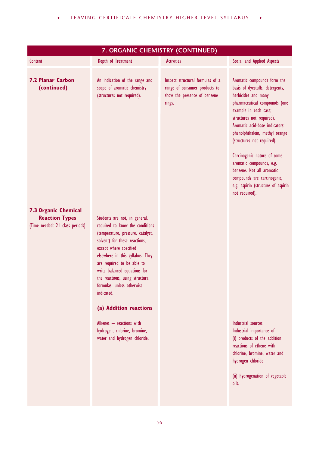|                                                                                         |                                                                                                                                                                                                                                                                                                                                                                                                                                                                         | 7. ORGANIC CHEMISTRY (CONTINUED)                                                                            |                                                                                                                                                                                                                                                                                                                                                                                                                                                               |
|-----------------------------------------------------------------------------------------|-------------------------------------------------------------------------------------------------------------------------------------------------------------------------------------------------------------------------------------------------------------------------------------------------------------------------------------------------------------------------------------------------------------------------------------------------------------------------|-------------------------------------------------------------------------------------------------------------|---------------------------------------------------------------------------------------------------------------------------------------------------------------------------------------------------------------------------------------------------------------------------------------------------------------------------------------------------------------------------------------------------------------------------------------------------------------|
| Content                                                                                 | Depth of Treatment                                                                                                                                                                                                                                                                                                                                                                                                                                                      | <b>Activities</b>                                                                                           | Social and Applied Aspects                                                                                                                                                                                                                                                                                                                                                                                                                                    |
| <b>7.2 Planar Carbon</b><br>(continued)                                                 | An indication of the range and<br>scope of aromatic chemistry<br>(structures not required).                                                                                                                                                                                                                                                                                                                                                                             | Inspect structural formulas of a<br>range of consumer products to<br>show the presence of benzene<br>rings. | Aromatic compounds form the<br>basis of dyestuffs, detergents,<br>herbicides and many<br>pharmaceutical compounds (one<br>example in each case;<br>structures not required).<br>Aromatic acid-base indicators:<br>phenolphthalein, methyl orange<br>(structures not required).<br>Carcinogenic nature of some<br>aromatic compounds, e.g.<br>benzene. Not all aromatic<br>compounds are carcinogenic,<br>e.g. aspirin (structure of aspirin<br>not required). |
| <b>7.3 Organic Chemical</b><br><b>Reaction Types</b><br>(Time needed: 21 class periods) | Students are not, in general,<br>required to know the conditions<br>(temperature, pressure, catalyst,<br>solvent) for these reactions,<br>except where specified<br>elsewhere in this syllabus. They<br>are required to be able to<br>write balanced equations for<br>the reactions, using structural<br>formulas, unless otherwise<br>indicated.<br>(a) Addition reactions<br>Alkenes - reactions with<br>hydrogen, chlorine, bromine,<br>water and hydrogen chloride. |                                                                                                             | Industrial sources.<br>Industrial importance of<br>(i) products of the addition<br>reactions of ethene with<br>chlorine, bromine, water and<br>hydrogen chloride<br>(ii) hydrogenation of vegetable<br>oils.                                                                                                                                                                                                                                                  |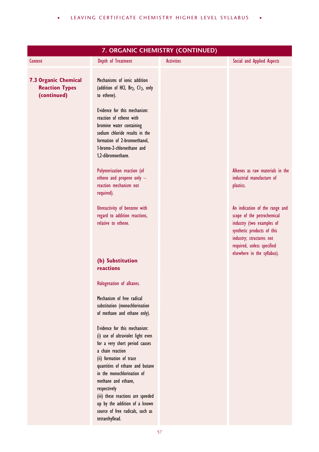| 7. ORGANIC CHEMISTRY (CONTINUED)                             |                                                                                                                                                                                                                                                                        |                   |                                                                                                                                                                                                                  |  |
|--------------------------------------------------------------|------------------------------------------------------------------------------------------------------------------------------------------------------------------------------------------------------------------------------------------------------------------------|-------------------|------------------------------------------------------------------------------------------------------------------------------------------------------------------------------------------------------------------|--|
| Content                                                      | Depth of Treatment                                                                                                                                                                                                                                                     | <b>Activities</b> | Social and Applied Aspects                                                                                                                                                                                       |  |
| 7.3 Organic Chemical<br><b>Reaction Types</b><br>(continued) | Mechanisms of ionic addition<br>(addition of HCl, Br2, Cl2, only<br>to ethene).<br>Evidence for this mechanism:<br>reaction of ethene with<br>bromine water containing<br>sodium chloride results in the<br>formation of 2-bromoethanol,<br>1-bromo-2-chloroethane and |                   |                                                                                                                                                                                                                  |  |
|                                                              | 1,2-dibromoethane.<br>Polymerisation reaction (of<br>ethene and propene only $-$<br>reaction mechanism not<br>required).                                                                                                                                               |                   | Alkenes as raw materials in the<br>industrial manufacture of<br>plastics.                                                                                                                                        |  |
|                                                              | Unreactivity of benzene with<br>regard to addition reactions,<br>relative to ethene.                                                                                                                                                                                   |                   | An indication of the range and<br>scope of the petrochemical<br>industry (two examples of<br>synthetic products of this<br>industry; structures not<br>required, unless specified<br>elsewhere in the syllabus). |  |
|                                                              | (b) Substitution<br>reactions<br>Halogenation of alkanes.                                                                                                                                                                                                              |                   |                                                                                                                                                                                                                  |  |
|                                                              | Mechanism of free radical<br>substitution (monochlorination<br>of methane and ethane only).                                                                                                                                                                            |                   |                                                                                                                                                                                                                  |  |
|                                                              | Evidence for this mechanism:<br>(i) use of ultraviolet light even<br>for a very short period causes<br>a chain reaction<br>(ii) formation of trace<br>quantities of ethane and butane                                                                                  |                   |                                                                                                                                                                                                                  |  |
|                                                              | in the monochlorination of<br>methane and ethane,<br>respectively<br>(iii) these reactions are speeded<br>up by the addition of a known<br>source of free radicals, such as<br>tetraethyllead.                                                                         |                   |                                                                                                                                                                                                                  |  |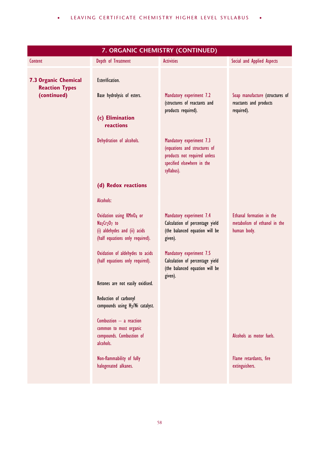|                                                              |                                                                                                                                                              | 7. ORGANIC CHEMISTRY (CONTINUED)                                                                                                     |                                                                         |
|--------------------------------------------------------------|--------------------------------------------------------------------------------------------------------------------------------------------------------------|--------------------------------------------------------------------------------------------------------------------------------------|-------------------------------------------------------------------------|
| Content                                                      | Depth of Treatment                                                                                                                                           | <b>Activities</b>                                                                                                                    | Social and Applied Aspects                                              |
| 7.3 Organic Chemical<br><b>Reaction Types</b><br>(continued) | <b>Esterification.</b><br>Base hydrolysis of esters.<br>(c) Elimination<br>reactions                                                                         | Mandatory experiment 7.2<br>(structures of reactants and<br>products required).                                                      | Soap manufacture (structures of<br>reactants and products<br>required). |
|                                                              | Dehydration of alcohols.                                                                                                                                     | Mandatory experiment 7.3<br>(equations and structures of<br>products not required unless<br>specified elsewhere in the<br>syllabus). |                                                                         |
|                                                              | (d) Redox reactions                                                                                                                                          |                                                                                                                                      |                                                                         |
|                                                              | Alcohols:                                                                                                                                                    |                                                                                                                                      |                                                                         |
|                                                              | Oxidation using KMnO <sub>4</sub> or<br>Na <sub>2</sub> Cr <sub>2</sub> O <sub>7</sub> to<br>(i) aldehydes and (ii) acids<br>(half equations only required). | Mandatory experiment 7.4<br>Calculation of percentage yield<br>(the balanced equation will be<br>given).                             | Ethanal formation in the<br>metabolism of ethanol in the<br>human body. |
|                                                              | Oxidation of aldehydes to acids<br>(half equations only required).                                                                                           | Mandatory experiment 7.5<br>Calculation of percentage yield<br>(the balanced equation will be<br>given).                             |                                                                         |
|                                                              | Ketones are not easily oxidised.                                                                                                                             |                                                                                                                                      |                                                                         |
|                                                              | Reduction of carbonyl<br>compounds using H <sub>2</sub> /Ni catalyst.                                                                                        |                                                                                                                                      |                                                                         |
|                                                              | Combustion $-$ a reaction<br>common to most organic<br>compounds. Combustion of<br>alcohols.                                                                 |                                                                                                                                      | Alcohols as motor fuels.                                                |
|                                                              | Non-flammability of fully<br>halogenated alkanes.                                                                                                            |                                                                                                                                      | Flame retardants, fire<br>extinguishers.                                |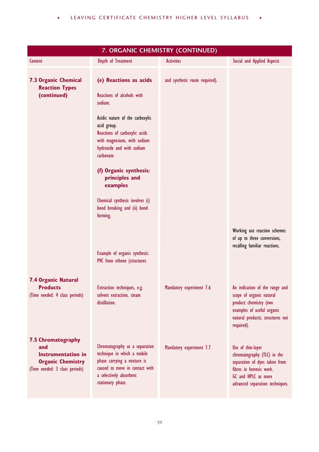| 7. ORGANIC CHEMISTRY (CONTINUED)                                                                                            |                                                                                                                                                                                |                                |                                                                                                                                                                         |
|-----------------------------------------------------------------------------------------------------------------------------|--------------------------------------------------------------------------------------------------------------------------------------------------------------------------------|--------------------------------|-------------------------------------------------------------------------------------------------------------------------------------------------------------------------|
| Content                                                                                                                     | Depth of Treatment                                                                                                                                                             | <b>Activities</b>              | Social and Applied Aspects                                                                                                                                              |
| <b>7.3 Organic Chemical</b><br><b>Reaction Types</b><br>(continued)                                                         | (e) Reactions as acids<br>Reactions of alcohols with<br>sodium.                                                                                                                | and synthetic route required). |                                                                                                                                                                         |
|                                                                                                                             | Acidic nature of the carboxylic<br>acid group.<br>Reactions of carboxylic acids<br>with magnesium, with sodium<br>hydroxide and with sodium<br>carbonate.                      |                                |                                                                                                                                                                         |
|                                                                                                                             | (f) Organic synthesis:<br>principles and<br>examples                                                                                                                           |                                |                                                                                                                                                                         |
|                                                                                                                             | Chemical synthesis involves (i)<br>bond breaking and (ii) bond<br>forming.                                                                                                     |                                |                                                                                                                                                                         |
|                                                                                                                             |                                                                                                                                                                                |                                | Working out reaction schemes<br>of up to three conversions,<br>recalling familiar reactions.                                                                            |
|                                                                                                                             | Example of organic synthesis:<br>PVC from ethene (structures                                                                                                                   |                                |                                                                                                                                                                         |
| 7.4 Organic Natural<br><b>Products</b><br>(Time needed: 4 class periods)                                                    | Extraction techniques, e.g.<br>solvent extraction, steam<br>distillation.                                                                                                      | Mandatory experiment 7.6       | An indication of the range and<br>scope of organic natural<br>product chemistry (two<br>examples of useful organic<br>natural products; structures not<br>required).    |
| <b>7.5 Chromatography</b><br>and<br><b>Instrumentation in</b><br><b>Organic Chemistry</b><br>(Time needed: 3 class periods) | Chromatography as a separation<br>technique in which a mobile<br>phase carrying a mixture is<br>caused to move in contact with<br>a selectively absorbent<br>stationary phase. | Mandatory experiment 7.7       | Use of thin-layer<br>chromatography (TLC) in the<br>separation of dyes taken from<br>fibres in forensic work.<br>GC and HPLC as more<br>advanced separation techniques. |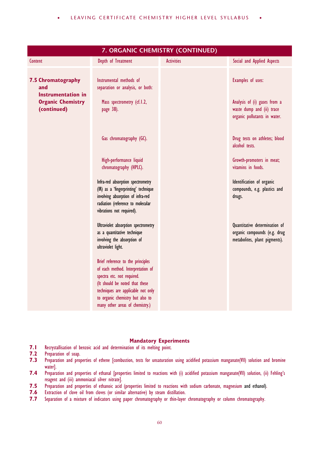| 7. ORGANIC CHEMISTRY (CONTINUED)                              |                                                                                                                                                                                                                  |                   |                                                                                                |  |  |
|---------------------------------------------------------------|------------------------------------------------------------------------------------------------------------------------------------------------------------------------------------------------------------------|-------------------|------------------------------------------------------------------------------------------------|--|--|
| Content                                                       | Depth of Treatment                                                                                                                                                                                               | <b>Activities</b> | Social and Applied Aspects                                                                     |  |  |
| <b>7.5 Chromatography</b><br>and<br><b>Instrumentation in</b> | Instrumental methods of<br>separation or analysis, or both:                                                                                                                                                      |                   | Examples of uses:                                                                              |  |  |
| <b>Organic Chemistry</b><br>(continued)                       | Mass spectrometry (cf.1.2,<br>page 38).                                                                                                                                                                          |                   | Analysis of (i) gases from a<br>waste dump and (ii) trace<br>organic pollutants in water.      |  |  |
|                                                               | Gas chromatography (GC).                                                                                                                                                                                         |                   | Drug tests on athletes; blood<br>alcohol tests.                                                |  |  |
|                                                               | High-performance liquid<br>chromatography (HPLC).                                                                                                                                                                |                   | Growth-promoters in meat;<br>vitamins in foods.                                                |  |  |
|                                                               | Infra-red absorption spectrometry<br>(IR) as a 'fingerprinting' technique<br>involving absorption of infra-red<br>radiation (reference to molecular<br>vibrations not required).                                 |                   | Identification of organic<br>compounds, e.g. plastics and<br>drugs.                            |  |  |
|                                                               | Ultraviolet absorption spectrometry<br>as a quantitative technique<br>involving the absorption of<br>ultraviolet light.                                                                                          |                   | Quantitative determination of<br>organic compounds (e.g. drug<br>metabolites, plant pigments). |  |  |
|                                                               | Brief reference to the principles<br>of each method. Interpretation of<br>spectra etc. not required.<br>(It should be noted that these<br>techniques are applicable not only<br>to organic chemistry but also to |                   |                                                                                                |  |  |
|                                                               | many other areas of chemistry.)                                                                                                                                                                                  |                   |                                                                                                |  |  |

- **7.1** Recrystallisation of benzoic acid and determination of its melting point.
- **7.2** Preparation of soap.
- **7.3** Preparation and properties of ethene [combustion, tests for unsaturation using acidified potassium manganate(VII) solution and bromine water].
- **7.4** Preparation and properties of ethanal [properties limited to reactions with (i) acidified potassium manganate(VII) solution, (ii) Fehling's reagent and (iii) ammoniacal silver nitrate].
- 7.5 Preparation and properties of ethanoic acid (properties limited to reactions with sodium carbonate, magnesium and ethanol).<br>7.6 Extraction of clove oil from cloves (or similar alternative) by steam distillation.
- **7.6** Extraction of clove oil from cloves (or similar alternative) by steam distillation.<br>**7.7** Separation of a mixture of indicators using paper chromatography or thin-layer
- **7.7** Separation of a mixture of indicators using paper chromatography or thin-layer chromatography or column chromatography.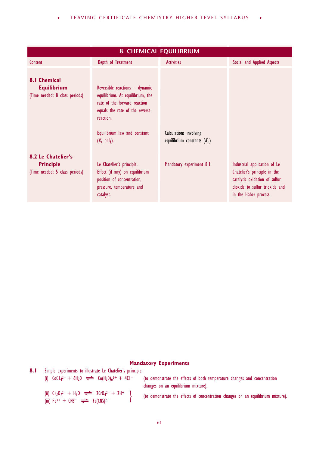| <b>8. CHEMICAL EQUILIBRIUM</b>                                                  |                                                                                                                                                     |                                                           |                                                                                                                                                          |  |
|---------------------------------------------------------------------------------|-----------------------------------------------------------------------------------------------------------------------------------------------------|-----------------------------------------------------------|----------------------------------------------------------------------------------------------------------------------------------------------------------|--|
| Content                                                                         | Depth of Treatment                                                                                                                                  | <b>Activities</b>                                         | Social and Applied Aspects                                                                                                                               |  |
| <b>8.1 Chemical</b><br><b>Equilibrium</b><br>(Time needed: 8 class periods)     | Reversible reactions $-$ dynamic<br>equilibrium. At equilibrium, the<br>rate of the forward reaction<br>equals the rate of the reverse<br>reaction. |                                                           |                                                                                                                                                          |  |
|                                                                                 | Equilibrium law and constant<br>$(K_c \text{ only}).$                                                                                               | Calculations involving<br>equilibrium constants $(K_c)$ . |                                                                                                                                                          |  |
| <b>8.2 Le Chatelier's</b><br><b>Principle</b><br>(Time needed: 5 class periods) | Le Chatelier's principle.<br>Effect (if any) on equilibrium<br>position of concentration,<br>pressure, temperature and<br>catalyst.                 | Mandatory experiment 8.1                                  | Industrial application of Le<br>Chatelier's principle in the<br>catalytic oxidation of sulfur<br>dioxide to sulfur trioxide and<br>in the Haber process. |  |

| Simple experiments to illustrate Le Chatelier's principle: | <b>8.I</b> |  |  |  |  |  |  |  |  |
|------------------------------------------------------------|------------|--|--|--|--|--|--|--|--|
|------------------------------------------------------------|------------|--|--|--|--|--|--|--|--|

(i)  $CoCl_4^{2-} + 6H_2O \implies Co(H_2O)_6$ 

(ii) Cr<sub>2</sub>O<sub>7</sub><sup>2—</sup> + H<sub>2</sub>O  $\implies$  2CrO<sub>4</sub><sup>2—</sup> + 2H<sup>+</sup> ) (to demonstrate the effects of concentration changes on an equilibrium mixture).<br>(iii) Fe<sup>3+</sup> + CNS<sup>—</sup>  $\implies$  Fe(CNS)<sup>2+</sup>

(to demonstrate the effects of both temperature changes and concentration changes on an equilibrium mixture).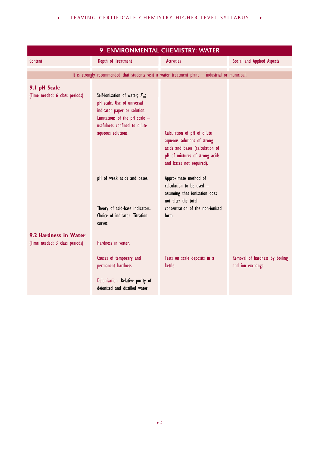| 9. ENVIRONMENTAL CHEMISTRY: WATER                       |                                                                                                                                                                                         |                                                                                                                                                             |                                                     |  |
|---------------------------------------------------------|-----------------------------------------------------------------------------------------------------------------------------------------------------------------------------------------|-------------------------------------------------------------------------------------------------------------------------------------------------------------|-----------------------------------------------------|--|
| Content                                                 | Depth of Treatment                                                                                                                                                                      | <b>Activities</b>                                                                                                                                           | Social and Applied Aspects                          |  |
|                                                         |                                                                                                                                                                                         | It is strongly recommended that students visit a water treatment plant $-$ industrial or municipal.                                                         |                                                     |  |
| 9.1 pH Scale<br>(Time needed: 6 class periods)          | Self-ionisation of water; $K_w$ ;<br>pH scale. Use of universal<br>indicator paper or solution.<br>Limitations of the pH scale -<br>usefulness confined to dilute<br>aqueous solutions. | Calculation of pH of dilute<br>aqueous solutions of strong<br>acids and bases (calculation of<br>pH of mixtures of strong acids<br>and bases not required). |                                                     |  |
|                                                         | pH of weak acids and bases.<br>Theory of acid-base indicators.<br>Choice of indicator. Titration<br>curves.                                                                             | Approximate method of<br>calculation to be used $-$<br>assuming that ionisation does<br>not alter the total<br>concentration of the non-ionised<br>form.    |                                                     |  |
| 9.2 Hardness in Water<br>(Time needed: 3 class periods) | Hardness in water.<br>Causes of temporary and<br>permanent hardness.<br>Deionisation. Relative purity of<br>deionised and distilled water.                                              | Tests on scale deposits in a<br>kettle.                                                                                                                     | Removal of hardness by boiling<br>and ion exchange. |  |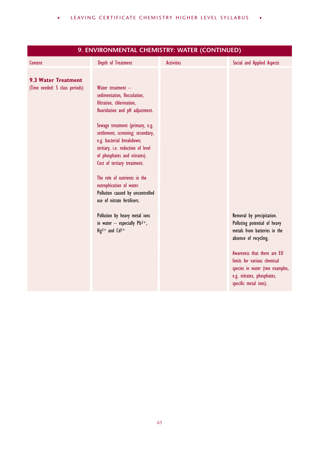| 9. ENVIRONMENTAL CHEMISTRY: WATER (CONTINUED)         |                                                                                                                                                                                                                                                                                                                                                                                                                                                                                                                                                              |                   |                                                                                                                                                                                                                                                                            |
|-------------------------------------------------------|--------------------------------------------------------------------------------------------------------------------------------------------------------------------------------------------------------------------------------------------------------------------------------------------------------------------------------------------------------------------------------------------------------------------------------------------------------------------------------------------------------------------------------------------------------------|-------------------|----------------------------------------------------------------------------------------------------------------------------------------------------------------------------------------------------------------------------------------------------------------------------|
| Content                                               | Depth of Treatment                                                                                                                                                                                                                                                                                                                                                                                                                                                                                                                                           | <b>Activities</b> | Social and Applied Aspects                                                                                                                                                                                                                                                 |
| 9.3 Water Treatment<br>(Time needed: 5 class periods) | Water treatment $-$<br>sedimentation, flocculation,<br>filtration, chlorination,<br>fluoridation and pH adjustment.<br>Sewage treatment (primary, e.g.<br>settlement, screening; secondary,<br>e.g. bacterial breakdown;<br>tertiary, i.e. reduction of level<br>of phosphates and nitrates).<br>Cost of tertiary treatment.<br>The role of nutrients in the<br>eutrophication of water.<br>Pollution caused by uncontrolled<br>use of nitrate fertilisers.<br>Pollution by heavy metal ions<br>in water - especially $Pb^{2+}$ ,<br>$Hg^{2+}$ and $Cd^{2+}$ |                   | Removal by precipitation.<br>Polluting potential of heavy<br>metals from batteries in the<br>absence of recycling.<br>Awareness that there are EU<br>limits for various chemical<br>species in water (two examples,<br>e.g. nitrates, phosphates,<br>specific metal ions). |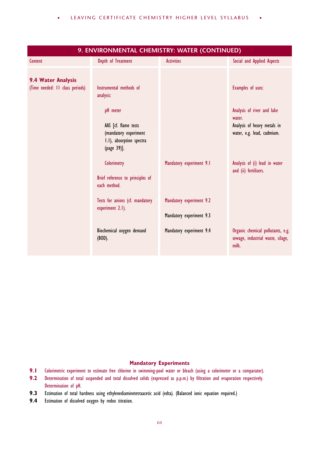| 9. ENVIRONMENTAL CHEMISTRY: WATER (CONTINUED)         |                                                                                                      |                                                      |                                                                                                   |
|-------------------------------------------------------|------------------------------------------------------------------------------------------------------|------------------------------------------------------|---------------------------------------------------------------------------------------------------|
| Content                                               | Depth of Treatment                                                                                   | <b>Activities</b>                                    | Social and Applied Aspects                                                                        |
| 9.4 Water Analysis<br>(Time needed: 11 class periods) | Instrumental methods of<br>analysis:                                                                 |                                                      | Examples of uses:                                                                                 |
|                                                       | pH meter<br>AAS [cf. flame tests<br>(mandatory experiment<br>I.I), absorption spectra<br>(page 39)]. |                                                      | Analysis of river and lake<br>water.<br>Analysis of heavy metals in<br>water, e.g. lead, cadmium. |
|                                                       | Colorimetry<br>Brief reference to principles of<br>each method.                                      | Mandatory experiment 9.1                             | Analysis of (i) lead in water<br>and (ii) fertilisers.                                            |
|                                                       | Tests for anions (cf. mandatory<br>experiment 2.1).                                                  | Mandatory experiment 9.2<br>Mandatory experiment 9.3 |                                                                                                   |
|                                                       | Biochemical oxygen demand<br>(BOD).                                                                  | Mandatory experiment 9.4                             | Organic chemical pollutants, e.g.<br>sewage, industrial waste, silage,<br>milk.                   |

- **9.1** Colorimetric experiment to estimate free chlorine in swimming-pool water or bleach (using a colorimeter or a comparator).
- **9.2** Determination of total suspended and total dissolved solids (expressed as p.p.m.) by filtration and evaporation respectively. Determination of pH.
- **9.3** Estimation of total hardness using ethylenediaminetetraacetic acid (edta). (Balanced ionic equation required.)
- **9.4** Estimation of dissolved oxygen by redox titration.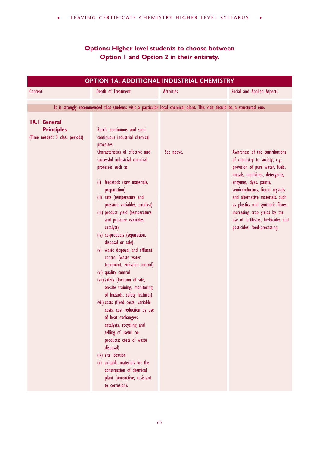# **Options: Higher level students to choose between Option 1 and Option 2 in their entirety.**

| <b>OPTION 1A: ADDITIONAL INDUSTRIAL CHEMISTRY</b>                          |                                                                                                                                                                                                                                                                                                                                                                                                                                                                                                                                                                                                                                                                                                                                                                                                                                                                                                                                                                                     |                                                                                                                          |                                                                                                                                                                                                                                                                                                                                                                                  |  |
|----------------------------------------------------------------------------|-------------------------------------------------------------------------------------------------------------------------------------------------------------------------------------------------------------------------------------------------------------------------------------------------------------------------------------------------------------------------------------------------------------------------------------------------------------------------------------------------------------------------------------------------------------------------------------------------------------------------------------------------------------------------------------------------------------------------------------------------------------------------------------------------------------------------------------------------------------------------------------------------------------------------------------------------------------------------------------|--------------------------------------------------------------------------------------------------------------------------|----------------------------------------------------------------------------------------------------------------------------------------------------------------------------------------------------------------------------------------------------------------------------------------------------------------------------------------------------------------------------------|--|
| Content                                                                    | Depth of Treatment                                                                                                                                                                                                                                                                                                                                                                                                                                                                                                                                                                                                                                                                                                                                                                                                                                                                                                                                                                  | <b>Activities</b>                                                                                                        | Social and Applied Aspects                                                                                                                                                                                                                                                                                                                                                       |  |
|                                                                            |                                                                                                                                                                                                                                                                                                                                                                                                                                                                                                                                                                                                                                                                                                                                                                                                                                                                                                                                                                                     | It is strongly recommended that students visit a particular local chemical plant. This visit should be a structured one. |                                                                                                                                                                                                                                                                                                                                                                                  |  |
| <b>IA.I</b> General<br><b>Principles</b><br>(Time needed: 3 class periods) | Batch, continuous and semi-<br>continuous industrial chemical<br>processes.<br>Characteristics of effective and<br>successful industrial chemical<br>processes such as<br>feedstock (raw materials,<br>(1)<br>preparation)<br>(ii) rate (temperature and<br>pressure variables, catalyst)<br>(iii) product yield (temperature<br>and pressure variables,<br>catalyst)<br>(iv) co-products (separation,<br>disposal or sale)<br>(v) waste disposal and effluent<br>control (waste water<br>treatment, emission control)<br>(vi) quality control<br>(vii) safety (location of site,<br>on-site training, monitoring<br>of hazards, safety features)<br>(viii) costs (fixed costs, variable<br>costs; cost reduction by use<br>of heat exchangers,<br>catalysts, recycling and<br>selling of useful co-<br>products; costs of waste<br>disposal)<br>(ix) site location<br>(x) suitable materials for the<br>construction of chemical<br>plant (unreactive, resistant<br>to corrosion). | See above.                                                                                                               | Awareness of the contributions<br>of chemistry to society, e.g.<br>provision of pure water, fuels,<br>metals, medicines, detergents,<br>enzymes, dyes, paints,<br>semiconductors, liquid crystals<br>and alternative materials, such<br>as plastics and synthetic fibres;<br>increasing crop yields by the<br>use of fertilisers, herbicides and<br>pesticides; food-processing. |  |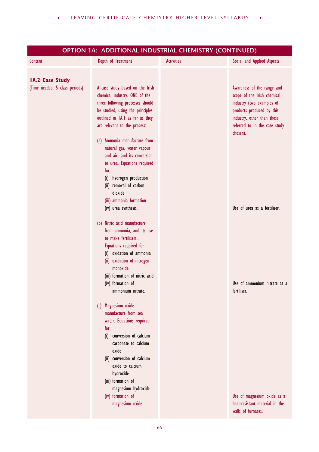| OPTION 1A: ADDITIONAL INDUSTRIAL CHEMISTRY (CONTINUED)   |                                                                                                                                                                                                                                                                                                                                                                                                 |                   |                                                                                                                                                                                                |
|----------------------------------------------------------|-------------------------------------------------------------------------------------------------------------------------------------------------------------------------------------------------------------------------------------------------------------------------------------------------------------------------------------------------------------------------------------------------|-------------------|------------------------------------------------------------------------------------------------------------------------------------------------------------------------------------------------|
| Content                                                  | Depth of Treatment                                                                                                                                                                                                                                                                                                                                                                              | <b>Activities</b> | Social and Applied Aspects                                                                                                                                                                     |
| <b>IA.2 Case Study</b><br>(Time needed: 5 class periods) | A case study based on the Irish<br>chemical industry. ONE of the<br>three following processes should<br>be studied, using the principles<br>outlined in IA.I as far as they<br>are relevant to the process:<br>(a) Ammonia manufacture from<br>natural gas, water vapour<br>and air, and its conversion<br>to urea. Equations required                                                          |                   | Awareness of the range and<br>scope of the Irish chemical<br>industry (two examples of<br>products produced by this<br>industry, other than those<br>referred to in the case study<br>chosen). |
|                                                          | for<br>hydrogen production<br>(i)<br>(ii) removal of carbon<br>dioxide<br>(iii) ammonia formation<br>(iv) urea synthesis.<br>Nitric acid manufacture<br>(b)<br>from ammonia, and its use<br>to make fertilisers.<br>Equations required for<br>oxidation of ammonia<br>(i)<br>(ii) oxidation of nitrogen<br>monoxide<br>(iii) formation of nitric acid<br>(iv) formation of<br>ammonium nitrate. |                   | Use of urea as a fertiliser.<br>Use of ammonium nitrate as a<br>fertiliser.                                                                                                                    |
|                                                          | Magnesium oxide<br>(c)<br>manufacture from sea<br>water. Equations required<br>for<br>conversion of calcium<br>(i)<br>carbonate to calcium<br>oxide<br>(ii) conversion of calcium<br>oxide to calcium<br>hydroxide<br>(iii) formation of<br>magnesium hydroxide<br>(iv) formation of<br>magnesium oxide.                                                                                        |                   | Use of magnesium oxide as a<br>heat-resistant material in the<br>walls of furnaces.                                                                                                            |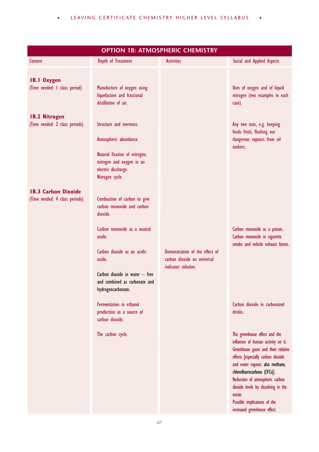| <b>OPTION 1B: ATMOSPHERIC CHEMISTRY</b>                      |                                                                                                                                                                                                                                                      |                                                                                      |                                                                                                                                                                                                                                                                                                                                                                                                                    |  |
|--------------------------------------------------------------|------------------------------------------------------------------------------------------------------------------------------------------------------------------------------------------------------------------------------------------------------|--------------------------------------------------------------------------------------|--------------------------------------------------------------------------------------------------------------------------------------------------------------------------------------------------------------------------------------------------------------------------------------------------------------------------------------------------------------------------------------------------------------------|--|
| Content                                                      | Depth of Treatment                                                                                                                                                                                                                                   | <b>Activities</b>                                                                    | Social and Applied Aspects                                                                                                                                                                                                                                                                                                                                                                                         |  |
| <b>IB.I Oxygen</b><br>(Time needed: I class period)          | Manufacture of oxygen using<br>liquefaction and fractional<br>distillation of air.                                                                                                                                                                   |                                                                                      | Uses of oxygen and of liquid<br>nitrogen (two examples in each<br>case).                                                                                                                                                                                                                                                                                                                                           |  |
| <b>IB.2 Nitrogen</b><br>(Time needed: 2 class periods)       | Structure and inertness.<br>Atmospheric abundance.<br>Natural fixation of nitrogen;<br>nitrogen and oxygen in an<br>electric discharge.<br>Nitrogen cycle.                                                                                           |                                                                                      | Any two uses, e.g. keeping<br>foods fresh, flushing out<br>dangerous vapours from oil<br>tankers.                                                                                                                                                                                                                                                                                                                  |  |
| <b>IB.3 Carbon Dioxide</b><br>(Time needed: 4 class periods) | Combustion of carbon to give<br>carbon monoxide and carbon<br>dioxide.<br>Carbon monoxide as a neutral<br>oxide.<br>Carbon dioxide as an acidic<br>oxide.<br>Carbon dioxide in water $-$ free<br>and combined as carbonate and<br>hydrogencarbonate. | Demonstration of the effect of<br>carbon dioxide on universal<br>indicator solution. | Carbon monoxide as a poison.<br>Carbon monoxide in cigarette<br>smoke and vehicle exhaust fumes.                                                                                                                                                                                                                                                                                                                   |  |
|                                                              | Fermentation in ethanol<br>production as a source of<br>carbon dioxide.<br>The carbon cycle.                                                                                                                                                         |                                                                                      | Carbon dioxide in carbonated<br>drinks.<br>The greenhouse effect and the<br>influence of human activity on it.<br>Greenhouse gases and their relative<br>effects [especially carbon dioxide<br>and water vapour; also methane,<br>chlorofluorocarbons (CFCs)].<br>Reduction of atmospheric carbon<br>dioxide levels by dissolving in the<br>ocean.<br>Possible implications of the<br>increased greenhouse effect. |  |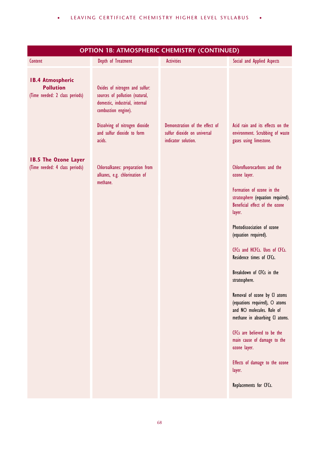| <b>OPTION 1B: ATMOSPHERIC CHEMISTRY (CONTINUED)</b>                           |                                                                                                                                                                                                     |                                                                                      |                                                                                                                                                                                                                                                                                                                                                                                                                                                                                                                                                                                                               |  |
|-------------------------------------------------------------------------------|-----------------------------------------------------------------------------------------------------------------------------------------------------------------------------------------------------|--------------------------------------------------------------------------------------|---------------------------------------------------------------------------------------------------------------------------------------------------------------------------------------------------------------------------------------------------------------------------------------------------------------------------------------------------------------------------------------------------------------------------------------------------------------------------------------------------------------------------------------------------------------------------------------------------------------|--|
| Content                                                                       | Depth of Treatment                                                                                                                                                                                  | <b>Activities</b>                                                                    | Social and Applied Aspects                                                                                                                                                                                                                                                                                                                                                                                                                                                                                                                                                                                    |  |
| <b>IB.4 Atmospheric</b><br><b>Pollution</b><br>(Time needed: 2 class periods) | Oxides of nitrogen and sulfur:<br>sources of pollution (natural,<br>domestic, industrial, internal<br>combustion engine).<br>Dissolving of nitrogen dioxide<br>and sulfur dioxide to form<br>acids. | Demonstration of the effect of<br>sulfur dioxide on universal<br>indicator solution. | Acid rain and its effects on the<br>environment. Scrubbing of waste<br>gases using limestone.                                                                                                                                                                                                                                                                                                                                                                                                                                                                                                                 |  |
| <b>IB.5 The Ozone Layer</b><br>(Time needed: 4 class periods)                 | Chloroalkanes: preparation from<br>alkanes, e.g. chlorination of<br>methane.                                                                                                                        |                                                                                      | Chlorofluorocarbons and the<br>ozone layer.<br>Formation of ozone in the<br>stratosphere (equation required).<br>Beneficial effect of the ozone<br>layer.<br>Photodissociation of ozone<br>(equation required).<br>CFCs and HCFCs. Uses of CFCs.<br>Residence times of CFCs.<br>Breakdown of CFCs in the<br>stratosphere.<br>Removal of ozone by Cl atoms<br>(equations required), O atoms<br>and NO molecules. Role of<br>methane in absorbing CI atoms.<br>CFCs are believed to be the<br>main cause of damage to the<br>ozone layer.<br>Effects of damage to the ozone<br>layer.<br>Replacements for CFCs. |  |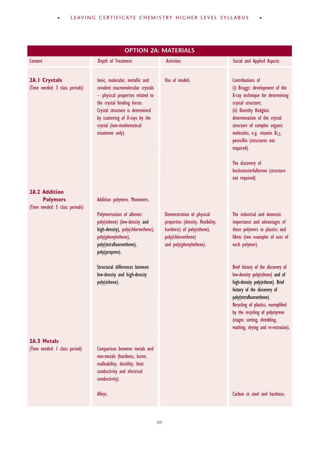| <b>OPTION 2A: MATERIALS</b>                                      |                                                                                                                                                                                                                                                                                           |                                                                                                                                               |                                                                                                                                                                                                                                                                                                                                                                                                                                                                          |  |  |
|------------------------------------------------------------------|-------------------------------------------------------------------------------------------------------------------------------------------------------------------------------------------------------------------------------------------------------------------------------------------|-----------------------------------------------------------------------------------------------------------------------------------------------|--------------------------------------------------------------------------------------------------------------------------------------------------------------------------------------------------------------------------------------------------------------------------------------------------------------------------------------------------------------------------------------------------------------------------------------------------------------------------|--|--|
| Content                                                          | Depth of Treatment                                                                                                                                                                                                                                                                        | <b>Activities</b>                                                                                                                             | Social and Applied Aspects                                                                                                                                                                                                                                                                                                                                                                                                                                               |  |  |
| 2A.I Crystals<br>(Time needed: 3 class periods)                  | lonic, molecular, metallic and<br>covalent macromolecular crystals<br>- physical properties related to<br>the crystal binding forces.<br>Crystal structure is determined<br>by scattering of X-rays by the<br>crystal (non-mathematical<br>treatment only).                               | Use of models.                                                                                                                                | Contributions of<br>(i) Braggs: development of the<br>X-ray technique for determining<br>crystal structure;<br>(ii) Dorothy Hodgkin:<br>determination of the crystal<br>structure of complex organic<br>molecules, e.g. vitamin B <sub>12</sub> ,<br>penicillin (structures not<br>required).<br>The discovery of<br>buckminsterfullerene (structure<br>not required).                                                                                                   |  |  |
| <b>2A.2 Addition</b>                                             |                                                                                                                                                                                                                                                                                           |                                                                                                                                               |                                                                                                                                                                                                                                                                                                                                                                                                                                                                          |  |  |
| <b>Polymers</b><br>(Time needed: 5 class periods)<br>2A.3 Metals | Addition polymers. Monomers.<br>Polymerisation of alkenes:<br>poly(ethene) (low-density and<br>high-density), poly(chloroethene),<br>poly(phenylethene),<br>poly(tetrafluoroethene),<br>poly(propene).<br>Structural differences between<br>low-density and high-density<br>poly(ethene). | Demonstration of physical<br>properties (density, flexibility,<br>hardness) of poly(ethene),<br>poly(chloroethene)<br>and poly(phenylethene). | The industrial and domestic<br>importance and advantages of<br>these polymers in plastics and<br>fibres (two examples of uses of<br>each polymer).<br>Brief history of the discovery of<br>low-density poly(ethene) and of<br>high-density poly(ethene). Brief<br>history of the discovery of<br>poly(tetrafluoroethene).<br>Recycling of plastics, exemplified<br>by the recycling of polystyrene<br>(stages: sorting, shredding,<br>washing, drying and re-extrusion). |  |  |
| (Time needed: I class period)                                    | Comparison between metals and<br>non-metals (hardness, lustre,<br>malleability, ductility, heat<br>conductivity and electrical<br>conductivity).<br>Alloys.                                                                                                                               |                                                                                                                                               | Carbon in steel and hardness.                                                                                                                                                                                                                                                                                                                                                                                                                                            |  |  |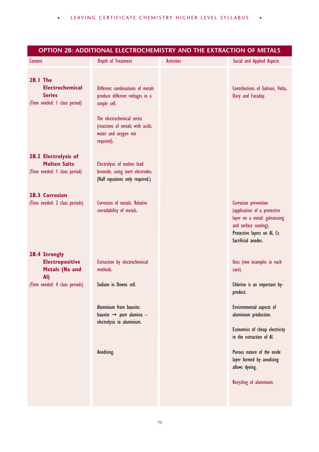| OPTION 2B: ADDITIONAL ELECTROCHEMISTRY AND THE EXTRACTION OF METALS                  |                                                                                                                                                                                             |                   |                                                                                                                                                                       |  |
|--------------------------------------------------------------------------------------|---------------------------------------------------------------------------------------------------------------------------------------------------------------------------------------------|-------------------|-----------------------------------------------------------------------------------------------------------------------------------------------------------------------|--|
| Content                                                                              | Depth of Treatment                                                                                                                                                                          | <b>Activities</b> | Social and Applied Aspects                                                                                                                                            |  |
| 2B.I The<br><b>Electrochemical</b><br><b>Series</b><br>(Time needed: I class period) | Different combinations of metals<br>produce different voltages in a<br>simple cell.<br>The electrochemical series<br>(reactions of metals with acids,<br>water and oxygen not<br>required). |                   | Contributions of Galvani, Volta,<br>Davy and Faraday.                                                                                                                 |  |
| <b>2B.2 Electrolysis of</b><br><b>Molten Salts</b><br>(Time needed: I class period)  | Electrolysis of molten lead<br>bromide, using inert electrodes.<br>(Half equations only required.)                                                                                          |                   |                                                                                                                                                                       |  |
| <b>2B.3 Corrosion</b><br>(Time needed: 2 class periods)                              | Corrosion of metals. Relative<br>corrodability of metals.                                                                                                                                   |                   | Corrosion prevention<br>(application of a protective<br>layer on a metal: galvanising<br>and surface coating).<br>Protective layers on Al, Cr.<br>Sacrificial anodes. |  |
| <b>2B.4 Strongly</b><br><b>Electropositive</b><br>Metals (Na and<br>AI)              | Extraction by electrochemical<br>methods.                                                                                                                                                   |                   | Uses (two examples in each<br>case).                                                                                                                                  |  |
| (Time needed: 4 class periods)                                                       | Sodium in Downs cell.                                                                                                                                                                       |                   | Chlorine is an important by-<br>product.                                                                                                                              |  |
|                                                                                      | Aluminium from bauxite:<br>bauxite $\rightarrow$ pure alumina -<br>electrolysis to aluminium.                                                                                               |                   | Environmental aspects of<br>aluminium production.<br>Economics of cheap electricity<br>in the extraction of Al.                                                       |  |
|                                                                                      | Anodising.                                                                                                                                                                                  |                   | Porous nature of the oxide<br>layer formed by anodising<br>allows dyeing.<br>Recycling of aluminium.                                                                  |  |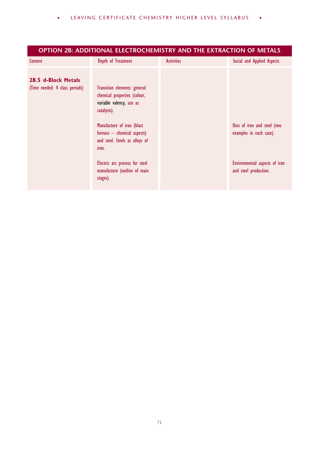| <b>OPTION 2B: ADDITIONAL ELECTROCHEMISTRY AND THE EXTRACTION OF METALS</b> |                                                                                                                                                                                                                                                                                                 |                   |                                                                                                                  |  |
|----------------------------------------------------------------------------|-------------------------------------------------------------------------------------------------------------------------------------------------------------------------------------------------------------------------------------------------------------------------------------------------|-------------------|------------------------------------------------------------------------------------------------------------------|--|
| Content                                                                    | Depth of Treatment                                                                                                                                                                                                                                                                              | <b>Activities</b> | Social and Applied Aspects                                                                                       |  |
| 2B.5 d-Block Metals<br>(Time needed: 4 class periods)                      | Transition elements: general<br>chemical properties (colour,<br>variable valency, use as<br>catalysts).<br>Manufacture of iron (blast<br>$furnace - chemical aspects)$<br>and steel. Steels as alloys of<br>iron.<br>Electric arc process for steel<br>manufacture (outline of main<br>stages). |                   | Uses of iron and steel (two<br>examples in each case).<br>Environmental aspects of iron<br>and steel production. |  |
|                                                                            |                                                                                                                                                                                                                                                                                                 |                   |                                                                                                                  |  |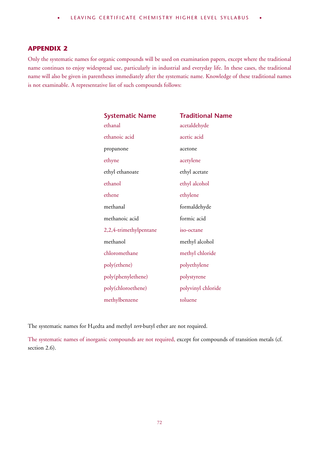• LEAVING CERTIFICATE CHEMISTRY HIGHER LEVEL SYLLABUS •

#### **APPENDIX 2**

Only the systematic names for organic compounds will be used on examination papers, except where the traditional name continues to enjoy widespread use, particularly in industrial and everyday life. In these cases, the traditional name will also be given in parentheses immediately after the systematic name. Knowledge of these traditional names is not examinable. A representative list of such compounds follows:

| <b>Systematic Name</b> | <b>Traditional Name</b> |  |
|------------------------|-------------------------|--|
| ethanal                | acetaldehyde            |  |
| ethanoic acid          | acetic acid             |  |
| propanone              | acetone                 |  |
| ethyne                 | acetylene               |  |
| ethyl ethanoate        | ethyl acetate           |  |
| ethanol                | ethyl alcohol           |  |
| ethene                 | ethylene                |  |
| methanal               | formaldehyde            |  |
| methanoic acid         | formic acid             |  |
| 2,2,4-trimethylpentane | iso-octane              |  |
| methanol               | methyl alcohol          |  |
| chloromethane          | methyl chloride         |  |
| poly(ethene)           | polyethylene            |  |
| poly(phenylethene)     | polystyrene             |  |
| poly(chloroethene)     | polyvinyl chloride      |  |
| methylbenzene          | toluene                 |  |

The systematic names for H4edta and methyl *tert*-butyl ether are not required.

The systematic names of inorganic compounds are not required, except for compounds of transition metals (cf. section 2.6).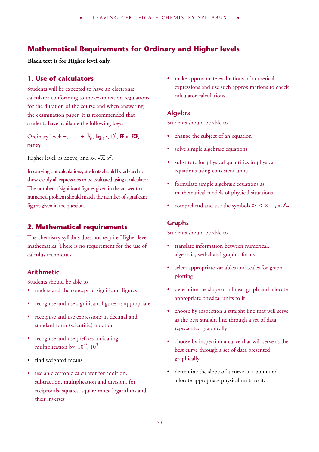# **Mathematical Requirements for Ordinary and Higher levels**

**Black text is for Higher level only.**

### **1. Use of calculators**

Students will be expected to have an electronic calculator conforming to the examination regulations for the duration of the course and when answering the examination paper. It is recommended that students have available the following keys:

Ordinary level:  $+$ ,  $-$ ,  $x$ ,  $\div$ ,  $\frac{1}{x}$ ,  $\log_{10} x$ , 10<sup>x</sup>, EE or EXP, memory.

Higher level: as above, and  $x^2$ ,  $\sqrt{x}$ ,  $x^y$ .

In carrying out calculations, students should be advised to show clearly all expressions to be evaluated using a calculator. The number of significant figures given in the answer to a numerical problem should match the number of significant figures given in the question.

# **2. Mathematical requirements**

The chemistry syllabus does not require Higher level mathematics. There is no requirement for the use of calculus techniques.

# **Arithmetic**

Students should be able to

- understand the concept of significant figures
- recognise and use significant figures as appropriate
- recognise and use expressions in decimal and standard form (scientific) notation
- recognise and use prefixes indicating multiplication by  $10^{-3}$ ,  $10^3$
- find weighted means
- use an electronic calculator for addition, subtraction, multiplication and division, for reciprocals, squares, square roots, logarithms and their inverses

• make approximate evaluations of numerical expressions and use such approximations to check calculator calculations.

#### **Algebra**

Students should be able to

- change the subject of an equation
- solve simple algebraic equations
- substitute for physical quantities in physical equations using consistent units
- formulate simple algebraic equations as mathematical models of physical situations
- comprehend and use the symbols >, <,  $\propto$ ,  $\Rightarrow$ ,  $\Rightarrow$ ,  $\angle x$ ,  $\Delta x$ .

#### **Graphs**

Students should be able to

- translate information between numerical, algebraic, verbal and graphic forms
- select appropriate variables and scales for graph plotting
- determine the slope of a linear graph and allocate appropriate physical units to it
- choose by inspection a straight line that will serve as the best straight line through a set of data represented graphically
- choose by inspection a curve that will serve as the best curve through a set of data presented graphically
- determine the slope of a curve at a point and allocate appropriate physical units to it.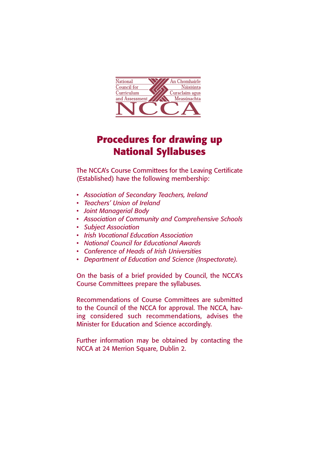

# **Procedures for drawing up National Syllabuses**

The NCCA's Course Committees for the Leaving Certificate (Established) have the following membership:

- *Association of Secondary Teachers, Ireland*
- *Teachers' Union of Ireland*
- *Joint Managerial Body*
- *Association of Community and Comprehensive Schools*
- *Subject Association*
- *Irish Vocational Education Association*
- *National Council for Educational Awards*
- *Conference of Heads of Irish Universities*
- *Department of Education and Science (Inspectorate).*

On the basis of a brief provided by Council, the NCCA's Course Committees prepare the syllabuses.

Recommendations of Course Committees are submitted to the Council of the NCCA for approval. The NCCA, having considered such recommendations, advises the Minister for Education and Science accordingly.

Further information may be obtained by contacting the NCCA at 24 Merrion Square, Dublin 2.